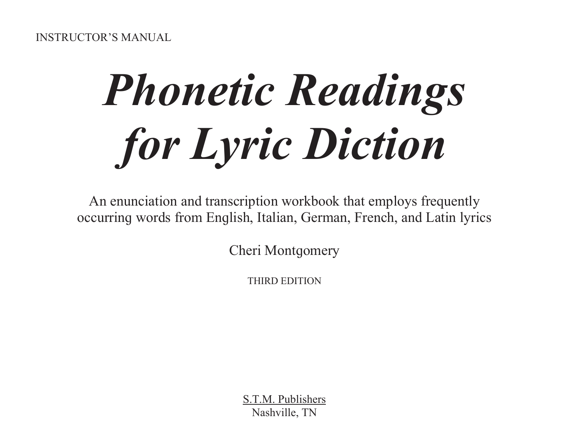# **Phonetic Readings** for Lyric Diction

An enunciation and transcription workbook that employs frequently occurring words from English, Italian, German, French, and Latin lyrics

**Cheri Montgomery** 

THIRD EDITION

S.T.M. Publishers Nashville, TN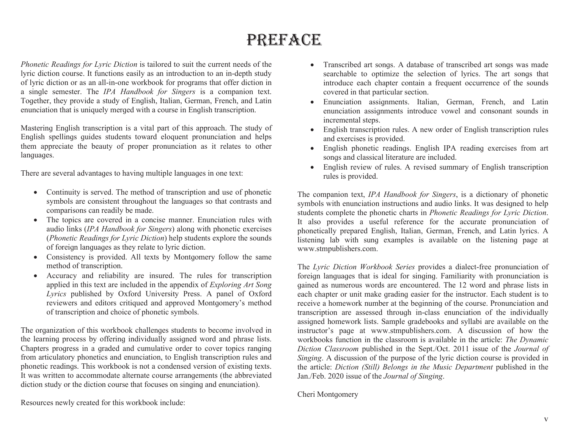# **PREFACE**

Phonetic Readings for Lyric Diction is tailored to suit the current needs of the lyric diction course. It functions easily as an introduction to an in-depth study of lyric diction or as an all-in-one workbook for programs that offer diction in a single semester. The IPA Handbook for Singers is a companion text. Together, they provide a study of English, Italian, German, French, and Latin enunciation that is uniquely merged with a course in English transcription.

Mastering English transcription is a vital part of this approach. The study of English spellings quides students toward eloquent pronunciation and helps them appreciate the beauty of proper pronunciation as it relates to other languages.

There are several advantages to having multiple languages in one text:

- Continuity is served. The method of transcription and use of phonetic  $\bullet$ symbols are consistent throughout the languages so that contrasts and comparisons can readily be made.
- The topics are covered in a concise manner. Enunciation rules with audio links (IPA Handbook for Singers) along with phonetic exercises (Phonetic Readings for Lyric Diction) help students explore the sounds of foreign languages as they relate to lyric diction.
- Consistency is provided. All texts by Montgomery follow the same method of transcription.
- Accuracy and reliability are insured. The rules for transcription applied in this text are included in the appendix of *Exploring Art Song* Lyrics published by Oxford University Press. A panel of Oxford reviewers and editors critiqued and approved Montgomery's method of transcription and choice of phonetic symbols.

The organization of this workbook challenges students to become involved in the learning process by offering individually assigned word and phrase lists. Chapters progress in a graded and cumulative order to cover topics ranging from articulatory phonetics and enunciation, to English transcription rules and phonetic readings. This workbook is not a condensed version of existing texts. It was written to accommodate alternate course arrangements (the abbreviated diction study or the diction course that focuses on singing and enunciation).

Resources newly created for this workbook include:

- Transcribed art songs. A database of transcribed art songs was made searchable to optimize the selection of lyrics. The art songs that introduce each chapter contain a frequent occurrence of the sounds covered in that particular section.
- Enunciation assignments. Italian, German, French, and Latin enunciation assignments introduce vowel and consonant sounds in incremental steps.
- English transcription rules. A new order of English transcription rules and exercises is provided.
- English phonetic readings. English IPA reading exercises from art songs and classical literature are included.
- English review of rules. A revised summary of English transcription  $\bullet$ rules is provided.

The companion text, IPA Handbook for Singers, is a dictionary of phonetic symbols with enunciation instructions and audio links. It was designed to help students complete the phonetic charts in *Phonetic Readings for Lyric Diction*. It also provides a useful reference for the accurate pronunciation of phonetically prepared English, Italian, German, French, and Latin lyrics. A listening lab with sung examples is available on the listening page at www.stmpublishers.com.

The Lyric Diction Workbook Series provides a dialect-free pronunciation of foreign languages that is ideal for singing. Familiarity with pronunciation is qained as numerous words are encountered. The 12 word and phrase lists in each chapter or unit make grading easier for the instructor. Each student is to receive a homework number at the beginning of the course. Pronunciation and transcription are assessed through in-class enunciation of the individually assigned homework lists. Sample gradebooks and syllabi are available on the instructor's page at www.stmpublishers.com. A discussion of how the workbooks function in the classroom is available in the article: The Dynamic Diction Classroom published in the Sept./Oct. 2011 issue of the Journal of Singing. A discussion of the purpose of the lyric diction course is provided in the article: Diction (Still) Belongs in the Music Department published in the Jan./Feb. 2020 issue of the *Journal of Singing*.

Cheri Montgomery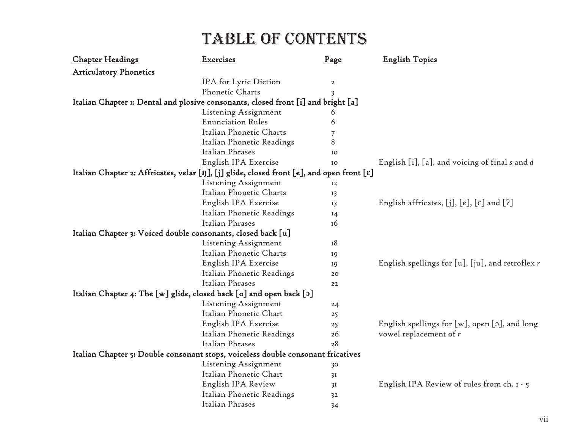| <b>Chapter Headings</b>       | Exercises                                                                                 | Page           | <b>English Topics</b>                                         |
|-------------------------------|-------------------------------------------------------------------------------------------|----------------|---------------------------------------------------------------|
| <b>Articulatory Phonetics</b> |                                                                                           |                |                                                               |
|                               | IPA for Lyric Diction                                                                     | $\overline{a}$ |                                                               |
|                               | Phonetic Charts                                                                           | 3              |                                                               |
|                               | Italian Chapter 1: Dental and plosive consonants, closed front [i] and bright [a]         |                |                                                               |
|                               | Listening Assignment                                                                      | 6              |                                                               |
|                               | <b>Enunciation Rules</b>                                                                  | 6              |                                                               |
|                               | Italian Phonetic Charts                                                                   | 7              |                                                               |
|                               | Italian Phonetic Readings                                                                 | 8              |                                                               |
|                               | Italian Phrases                                                                           | IO             |                                                               |
|                               | English IPA Exercise                                                                      | IO             | English [i], [a], and voicing of final s and d                |
|                               | Italian Chapter 2: Affricates, velar [ŋ], [j] glide, closed front [e], and open front [ɛ] |                |                                                               |
|                               | Listening Assignment                                                                      | 12             |                                                               |
|                               | Italian Phonetic Charts                                                                   | 13             |                                                               |
|                               | English IPA Exercise                                                                      | 13             | English affricates, $[j]$ , $[e]$ , $[\varepsilon]$ and $[?]$ |
|                               | Italian Phonetic Readings                                                                 | $I_4$          |                                                               |
|                               | Italian Phrases                                                                           | <b>16</b>      |                                                               |
|                               | Italian Chapter 3: Voiced double consonants, closed back [u]                              |                |                                                               |
|                               | Listening Assignment                                                                      | 18             |                                                               |
|                               | Italian Phonetic Charts                                                                   | 19             |                                                               |
|                               | English IPA Exercise                                                                      | 19             | English spellings for $[u]$ , $[iu]$ , and retroflex r        |
|                               | Italian Phonetic Readings                                                                 | 20             |                                                               |
|                               | Italian Phrases                                                                           | 22             |                                                               |
|                               | Italian Chapter 4: The [w] glide, closed back [o] and open back [o]                       |                |                                                               |
|                               | Listening Assignment                                                                      | 24             |                                                               |
|                               | Italian Phonetic Chart                                                                    | 25             |                                                               |
|                               | English IPA Exercise                                                                      | 25             | English spellings for $[w]$ , open $[s]$ , and long           |
|                               | Italian Phonetic Readings                                                                 | 26             | vowel replacement of $r$                                      |
|                               | Italian Phrases                                                                           | 28             |                                                               |
|                               | Italian Chapter 5: Double consonant stops, voiceless double consonant fricatives          |                |                                                               |
|                               | Listening Assignment                                                                      | 30             |                                                               |
|                               | Italian Phonetic Chart                                                                    | 3I             |                                                               |
|                               | English IPA Review                                                                        | 3I             | English IPA Review of rules from ch. 1 - 5                    |
|                               | Italian Phonetic Readings                                                                 | 32             |                                                               |
|                               | Italian Phrases                                                                           | 34             |                                                               |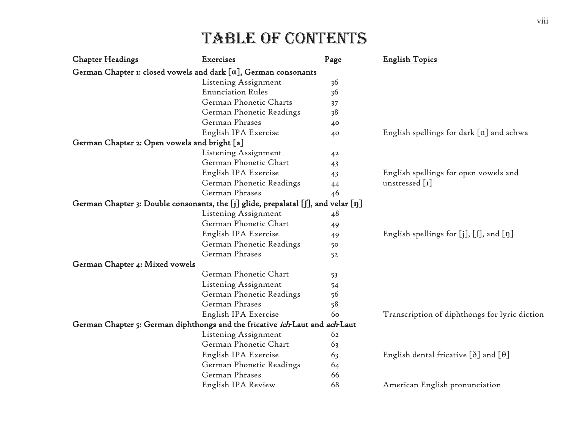| <b>Chapter Headings</b>                      | <b>Exercises</b>                                                                  | Page | <b>English Topics</b>                              |
|----------------------------------------------|-----------------------------------------------------------------------------------|------|----------------------------------------------------|
|                                              | German Chapter 1: closed vowels and dark $[a]$ , German consonants                |      |                                                    |
|                                              | Listening Assignment                                                              | 36   |                                                    |
|                                              | <b>Enunciation Rules</b>                                                          | 36   |                                                    |
|                                              | German Phonetic Charts                                                            | 37   |                                                    |
|                                              | German Phonetic Readings                                                          | 38   |                                                    |
|                                              | German Phrases                                                                    | 40   |                                                    |
|                                              | English IPA Exercise                                                              | 40   | English spellings for dark $[a]$ and schwa         |
| German Chapter 2: Open vowels and bright [a] |                                                                                   |      |                                                    |
|                                              | Listening Assignment                                                              | 42   |                                                    |
|                                              | German Phonetic Chart                                                             | 43   |                                                    |
|                                              | English IPA Exercise                                                              | 43   | English spellings for open vowels and              |
|                                              | German Phonetic Readings                                                          | 44   | unstressed [1]                                     |
|                                              | German Phrases                                                                    | 46   |                                                    |
|                                              | German Chapter 3: Double consonants, the [j] glide, prepalatal [f], and velar [ŋ] |      |                                                    |
|                                              | Listening Assignment                                                              | 48   |                                                    |
|                                              | German Phonetic Chart                                                             | 49   |                                                    |
|                                              | English IPA Exercise                                                              | 49   | English spellings for $[j], [j],$ and $[\eta]$     |
|                                              | German Phonetic Readings                                                          | 50   |                                                    |
|                                              | German Phrases                                                                    | 52   |                                                    |
| German Chapter 4: Mixed vowels               |                                                                                   |      |                                                    |
|                                              | German Phonetic Chart                                                             | 53   |                                                    |
|                                              | Listening Assignment                                                              | 54   |                                                    |
|                                              | German Phonetic Readings                                                          | 56   |                                                    |
|                                              | German Phrases                                                                    | 58   |                                                    |
|                                              | English IPA Exercise                                                              | 60   | Transcription of diphthongs for lyric diction      |
|                                              | German Chapter 5: German diphthongs and the fricative ich Laut and ach Laut       |      |                                                    |
|                                              | Listening Assignment                                                              | 62   |                                                    |
|                                              | German Phonetic Chart                                                             | 63   |                                                    |
|                                              | English IPA Exercise                                                              | 63   | English dental fricative $[\delta]$ and $[\theta]$ |
|                                              | German Phonetic Readings                                                          | 64   |                                                    |
|                                              | German Phrases                                                                    | 66   |                                                    |
|                                              | English IPA Review                                                                | 68   | American English pronunciation                     |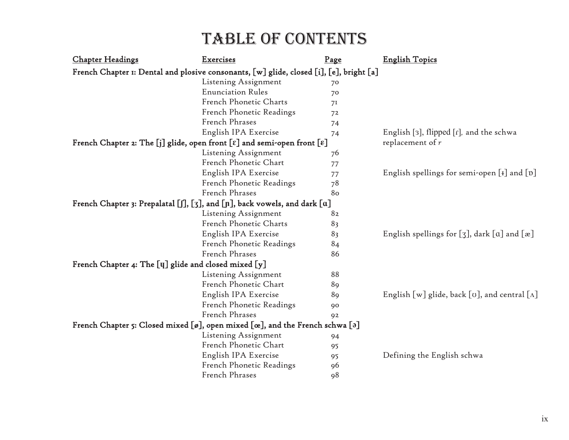| <b>Chapter Headings</b>                                                                                                                     | <b>Exercises</b>         | Page           | <b>English Topics</b>                                           |
|---------------------------------------------------------------------------------------------------------------------------------------------|--------------------------|----------------|-----------------------------------------------------------------|
| French Chapter 1: Dental and plosive consonants, [w] glide, closed [i], [e], bright [a]                                                     |                          |                |                                                                 |
|                                                                                                                                             | Listening Assignment     | 70             |                                                                 |
|                                                                                                                                             | <b>Enunciation Rules</b> | 70             |                                                                 |
|                                                                                                                                             | French Phonetic Charts   | 7 <sup>I</sup> |                                                                 |
|                                                                                                                                             | French Phonetic Readings | 72             |                                                                 |
|                                                                                                                                             | French Phrases           | 74             |                                                                 |
|                                                                                                                                             | English IPA Exercise     | 74             | English [3], flipped [1], and the schwa                         |
| French Chapter 2: The [j] glide, open front $[\varepsilon]$ and semi-open front $[\varepsilon]$                                             |                          |                | replacement of $r$                                              |
|                                                                                                                                             | Listening Assignment     | 76             |                                                                 |
|                                                                                                                                             | French Phonetic Chart    | 77             |                                                                 |
|                                                                                                                                             | English IPA Exercise     | 77             | English spellings for semi-open [I] and [D]                     |
|                                                                                                                                             | French Phonetic Readings | 78             |                                                                 |
|                                                                                                                                             | French Phrases           | 80             |                                                                 |
| French Chapter 3: Prepalatal $\left[\int\right], \left[\int\right]$ , and $\left[\int\right]$ , back vowels, and dark $\left[\alpha\right]$ |                          |                |                                                                 |
|                                                                                                                                             | Listening Assignment     | 82             |                                                                 |
|                                                                                                                                             | French Phonetic Charts   | 83             |                                                                 |
|                                                                                                                                             | English IPA Exercise     | 83             | English spellings for $[g]$ , dark $[a]$ and $[x]$              |
|                                                                                                                                             | French Phonetic Readings | 84             |                                                                 |
|                                                                                                                                             | French Phrases           | 86             |                                                                 |
| French Chapter 4: The [y] glide and closed mixed [y]                                                                                        |                          |                |                                                                 |
|                                                                                                                                             | Listening Assignment     | 88             |                                                                 |
|                                                                                                                                             | French Phonetic Chart    | 89             |                                                                 |
|                                                                                                                                             | English IPA Exercise     | 89             | English [w] glide, back [ $\sigma$ ], and central [ $\Lambda$ ] |
|                                                                                                                                             | French Phonetic Readings | 90             |                                                                 |
|                                                                                                                                             | French Phrases           | 92             |                                                                 |
| French Chapter 5: Closed mixed [ø], open mixed [œ], and the French schwa [a]                                                                |                          |                |                                                                 |
|                                                                                                                                             | Listening Assignment     | 94             |                                                                 |
|                                                                                                                                             | French Phonetic Chart    | 95             |                                                                 |
|                                                                                                                                             | English IPA Exercise     | 95             | Defining the English schwa                                      |
|                                                                                                                                             | French Phonetic Readings | 96             |                                                                 |
|                                                                                                                                             | French Phrases           | 98             |                                                                 |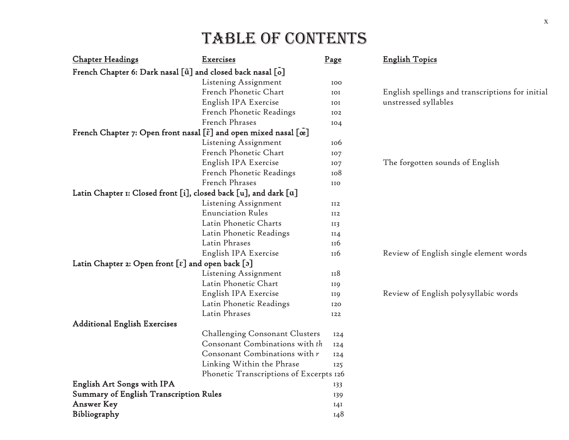| <b>Chapter Headings</b>                                                                             | <b>Exercises</b>                        | Page            | <b>English Topics</b>                            |
|-----------------------------------------------------------------------------------------------------|-----------------------------------------|-----------------|--------------------------------------------------|
| French Chapter 6: Dark nasal [ $\tilde{a}$ ] and closed back nasal [ $\tilde{o}$ ]                  |                                         |                 |                                                  |
|                                                                                                     | Listening Assignment                    | 100             |                                                  |
|                                                                                                     | French Phonetic Chart                   | IOI             | English spellings and transcriptions for initial |
|                                                                                                     | English IPA Exercise                    | IOI             | unstressed syllables                             |
|                                                                                                     | French Phonetic Readings                | 102             |                                                  |
|                                                                                                     | French Phrases                          | 104             |                                                  |
| French Chapter 7: Open front nasal [ $\tilde{\epsilon}$ ] and open mixed nasal [ $\tilde{\alpha}$ ] |                                         |                 |                                                  |
|                                                                                                     | Listening Assignment                    | 10 <sub>0</sub> |                                                  |
|                                                                                                     | French Phonetic Chart                   | 107             |                                                  |
|                                                                                                     | English IPA Exercise                    | IO7             | The forgotten sounds of English                  |
|                                                                                                     | French Phonetic Readings                | 108             |                                                  |
|                                                                                                     | French Phrases                          | IIO             |                                                  |
| Latin Chapter 1: Closed front [i], closed back [u], and dark [a]                                    |                                         |                 |                                                  |
|                                                                                                     | Listening Assignment                    | II2             |                                                  |
|                                                                                                     | <b>Enunciation Rules</b>                | II2             |                                                  |
|                                                                                                     | Latin Phonetic Charts                   | II3             |                                                  |
|                                                                                                     | Latin Phonetic Readings                 | II4             |                                                  |
|                                                                                                     | Latin Phrases                           | 116             |                                                  |
|                                                                                                     | English IPA Exercise                    | II <sub>6</sub> | Review of English single element words           |
| Latin Chapter 2: Open front $[\epsilon]$ and open back $[\mathfrak{z}]$                             |                                         |                 |                                                  |
|                                                                                                     | Listening Assignment                    | 118             |                                                  |
|                                                                                                     | Latin Phonetic Chart                    | <b>II9</b>      |                                                  |
|                                                                                                     | English IPA Exercise                    | <b>II9</b>      | Review of English polysyllabic words             |
|                                                                                                     | Latin Phonetic Readings                 | 120             |                                                  |
|                                                                                                     | Latin Phrases                           | I22             |                                                  |
| <b>Additional English Exercises</b>                                                                 |                                         |                 |                                                  |
|                                                                                                     | Challenging Consonant Clusters          | 124             |                                                  |
|                                                                                                     | Consonant Combinations with th          | 124             |                                                  |
|                                                                                                     | Consonant Combinations with r           | 124             |                                                  |
|                                                                                                     | Linking Within the Phrase               | 125             |                                                  |
|                                                                                                     | Phonetic Transcriptions of Excerpts 126 |                 |                                                  |
| <b>English Art Songs with IPA</b>                                                                   |                                         | 133             |                                                  |
| <b>Summary of English Transcription Rules</b>                                                       |                                         | 139             |                                                  |
| <b>Answer Key</b>                                                                                   |                                         | I4I             |                                                  |
| Bibliography                                                                                        |                                         | 148             |                                                  |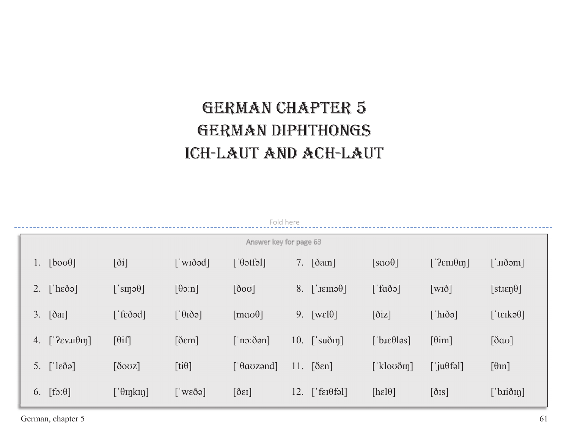# **GERMAN CHAPTER 5** GERMAN DIPHTHONGS ICH-LAUT AND ACH-LAUT

|                                        | Fold here                                                                                                                                                                                                                                                                                                                                                                                                                                                                                                                 |                                                    |                                               |                                    |                         |                                              |                             |
|----------------------------------------|---------------------------------------------------------------------------------------------------------------------------------------------------------------------------------------------------------------------------------------------------------------------------------------------------------------------------------------------------------------------------------------------------------------------------------------------------------------------------------------------------------------------------|----------------------------------------------------|-----------------------------------------------|------------------------------------|-------------------------|----------------------------------------------|-----------------------------|
|                                        |                                                                                                                                                                                                                                                                                                                                                                                                                                                                                                                           |                                                    |                                               | Answer key for page 63             |                         |                                              |                             |
| $[bo \sigma \theta]$<br>$\mathbf{l}$ . | $[\delta i]$                                                                                                                                                                                                                                                                                                                                                                                                                                                                                                              | $\lceil$ 'wiðəd]                                   | $\lceil \theta \text{off} \rangle$            | 7. $\left[\delta \text{am}\right]$ | $\lceil$ sao $\theta$ ] | $[$ ? $\epsilon$ ni $\theta$ <sub>In</sub> ] | [ˈɹɪðəm]                    |
| 2. $[\text{heða}]$                     | $[\,\dot{\text{sup}}\theta]$                                                                                                                                                                                                                                                                                                                                                                                                                                                                                              | $\lceil \theta \circ n \rceil$                     | $\lceil \delta$ ov]                           | 8. $\lceil \text{Jerno0} \rceil$   | $\lceil$ 'faðə]         | $\left[\text{wi}\delta\right]$               | $[step\theta]$              |
| 3.<br>$\lceil$ ðar $\rceil$            | $\lceil \frac{\text{f}}{\text{f}} \times \text{f} \times \text{f} \times \text{f} \times \text{f} \times \text{f} \times \text{f} \times \text{f} \times \text{f} \times \text{f} \times \text{f} \times \text{f} \times \text{f} \times \text{f} \times \text{f} \times \text{f} \times \text{f} \times \text{f} \times \text{f} \times \text{f} \times \text{f} \times \text{f} \times \text{f} \times \text{f} \times \text{f} \times \text{f} \times \text{f} \times \text{f} \times \text{f} \times \text{f} \times$ | $\lceil \dot{\theta} \tilde{\delta} \theta \rceil$ | $\lceil \text{mao}\theta \rceil$              | 9. $[we10]$                        | $\left[\delta$ iz]      | $\lceil$ hiðə]                               | $[$ 'tɛɪkə $\theta$ ]       |
| 4.<br>$[$ [ $\gamma$ ενιπθιη]          | $[\theta if]$                                                                                                                                                                                                                                                                                                                                                                                                                                                                                                             | $\lceil \delta \varepsilon m \rceil$               | $\lceil$ 'no: $\delta$ ən]                    | 10. $\left[\right]$ suðin]         | ['b.selləs]             | $\lceil \theta \text{im} \rceil$             | $[\delta \alpha \sigma]$    |
| 5. $[\text{leðə}]$                     | $\lceil \delta$ ovz $\rceil$                                                                                                                                                                                                                                                                                                                                                                                                                                                                                              | $[ti\theta]$                                       | $\lceil \theta$ aozənd                        | $11.$ [ $\delta$ en]               | [ $kloo\delta$ in]      | $\left[\right]$ ju $\theta$ fəl]             | $[\theta$ <sub>In</sub> ]   |
| 6. $[fs:\theta]$                       | $[$ ' $\theta$ IŋkIŋ]                                                                                                                                                                                                                                                                                                                                                                                                                                                                                                     | $\lceil$ wede                                      | $\lceil \delta \varepsilon \mathbf{I} \rceil$ | $12.$ ['fer $\theta$ fəl]          | [he10]                  | $[\delta$ <sub>IS</sub> $]$                  | $[$ b. $\overrightarrow{a}$ |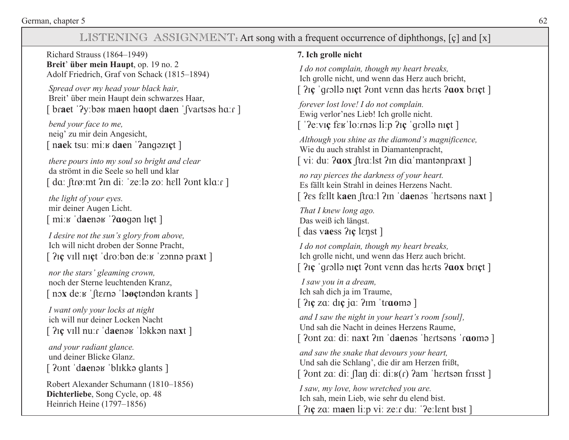#### LISTENING ASSIGNMENT: Art song with a frequent occurrence of diphthongs, [c] and [x]

Richard Strauss (1864–1949) Breit' über mein Haupt, op. 19 no. 2 Adolf Friedrich, Graf von Schack (1815–1894)

Spread over my head your black hair, Breit' über mein Haupt dein schwarzes Haar, [braet '?y:bəʁ maen haopt daen 'fvartsəs ha:r]

bend your face to me. neig' zu mir dein Angesicht, [naek tsu: mi:*v* daen '?angezict]

there pours into my soul so bright and clear da strömt in die Seele so hell und klar [da: ftrø:mt ?in di: 'ze:lə zo: hell ?ont kla:r ]

the light of your eyes. mir deiner Augen Licht.  $\lceil \text{mix} \rceil$  daener '? aloq and ligt  $\lceil \text{mix} \rceil$ 

I desire not the sun's glory from above, Ich will nicht droben der Sonne Pracht,  $\lceil$  ?  $\chi$  vill nict 'dro:ban de:  $\kappa$  'zonna praxt ]

nor the stars' gleaming crown. noch der Sterne leuchtenden Kranz, [nox de: K fterno loger body herants ]

I want only your locks at night ich will nur deiner Locken Nacht  $\lceil$  ?  $\chi$  vill nu: c 'daenak' lokkan naxt ]

and your radiant glance. und deiner Blicke Glanz. [ ?ont 'daenak 'blikka qlants ]

Robert Alexander Schumann (1810-1856) Dichterliebe, Song Cycle, op. 48 Heinrich Heine  $(1797-1856)$ 

#### 7. Ich grolle nicht

I do not complain, though my heart breaks, Ich grolle nicht, und wenn das Herz auch bricht, [  $2\pi$  'grolla nict *Pont* venn das herts *Paox* brict ]

forever lost love! I do not complain. Ewig verlor'nes Lieb! Ich grolle nicht. [' $?$ e:viç fe $\bf{g}'$ lo:məs li:p  $?$ iç 'qrollə niçt]

Although you shine as the diamond's magnificence. Wie du auch strahlst in Diamantenpracht, [vi: du: ?aox ftra: lst ?in dia mantenpraxt ]

no ray pierces the darkness of your heart. Es fällt kein Strahl in deines Herzens Nacht. [ ?es fellt kaen ftro...] ?in 'daenes 'hertsens naxt ]

That I knew long ago. Das weiß ich längst. [ das vaess  $2i$ c lenst ]

I do not complain, though my heart breaks, Ich grolle nicht, und wenn das Herz auch bricht. [  $2\pi$  'grolla nict *P*ont venn das herts *Paox* brict ]

I saw you in a dream, Ich sah dich ja im Traume,  $\lceil$  ? Ice za: dic ja: ? Im 'traome ]

and I saw the night in your heart's room [soul], Und sah die Nacht in deines Herzens Raume. [ ?ont za: di: naxt ?in 'daenos 'hertsons 'raomo ]

and saw the snake that devours your heart, Und sah die Schlang', die dir am Herzen frißt, [ $2$ ont za: di: flan di: di: $y(r)$   $2am$  'hertson frisst ]

I saw, my love, how wretched you are. Ich sah, mein Lieb, wie sehr du elend bist.  $\lceil$   $\frac{2\pi}{2}$  za: maen li:p vi: ze: du: ' $\lceil$ e: lent bist  $\rceil$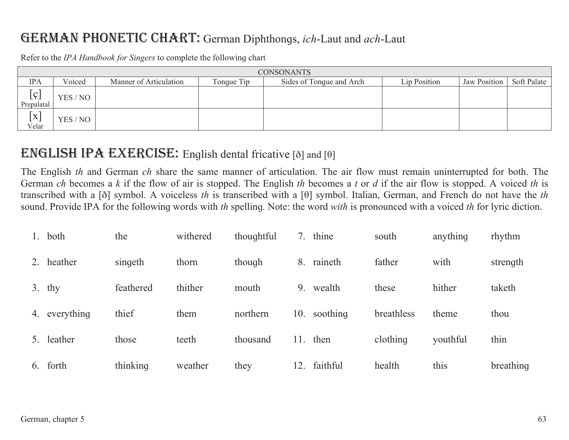## **GERMAN PHONETIC CHART:** German Diphthongs, *ich*-Laut and *ach*-Laut

|                     | <b>CONSONANTS</b> |                        |            |                          |              |              |             |  |  |
|---------------------|-------------------|------------------------|------------|--------------------------|--------------|--------------|-------------|--|--|
| <b>IPA</b>          | Voiced            | Manner of Articulation | Tonque Tip | Sides of Tonque and Arch | Lip Position | Jaw Position | Soft Palate |  |  |
| [g]<br>Prepalatal   | YES / NO          |                        |            |                          |              |              |             |  |  |
| $\bm{[x]}$<br>Velar | YES / NO          |                        |            |                          |              |              |             |  |  |

Refer to the *IPA Handbook for Singers* to complete the following chart

## **ENGLISH IPA EXERCISE:** English dental fricative [ $\delta$ ] and [ $\theta$ ]

The English *th* and German *ch* share the same manner of articulation. The air flow must remain uninterrupted for both. The German *ch* becomes a *k* if the flow of air is stopped. The English *th* becomes a *t* or *d* if the air flow is stopped. A voiced *th* is transcribed with a [ð] symbol. A voiceless *th* is transcribed with a [ș] symbol. Italian, German, and French do not have the *th*  sound. Provide IPA for the following words with *th* spelling. Note: the word with is pronounced with a voiced *th* for lyric diction.

| 1. | both          | the       | withered | thoughtful | 7.  | thine        | south      | anything | rhythm    |
|----|---------------|-----------|----------|------------|-----|--------------|------------|----------|-----------|
| 2. | heather       | singeth   | thorn    | though     | 8.  | raineth      | father     | with     | strength  |
|    | $3.$ thy      | feathered | thither  | mouth      | 9.  | wealth       | these      | hither   | taketh    |
|    | 4. everything | thief     | them     | northern   |     | 10. soothing | breathless | theme    | thou      |
| 5. | leather       | those     | teeth    | thousand   | 11. | then         | clothing   | youthful | thin      |
|    | 6. forth      | thinking  | weather  | they       | 12. | faithful     | health     | this     | breathing |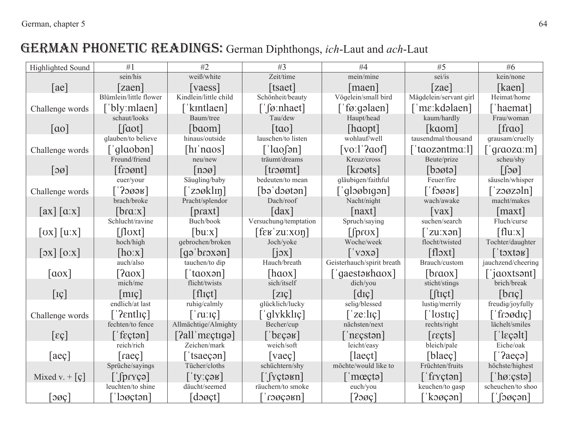# GERMAN PHONETIC READINGS: German Diphthongs, ich-Laut and ach-Laut

| Highlighted Sound                            | #1                                                                     | #2                        | #3                                                                                                                                                                                                                                                                                                                                                                                                                                                                                         | #4                                 | #5                           | #6                                      |
|----------------------------------------------|------------------------------------------------------------------------|---------------------------|--------------------------------------------------------------------------------------------------------------------------------------------------------------------------------------------------------------------------------------------------------------------------------------------------------------------------------------------------------------------------------------------------------------------------------------------------------------------------------------------|------------------------------------|------------------------------|-----------------------------------------|
|                                              | sein/his                                                               | weiß/white                | Zeit/time                                                                                                                                                                                                                                                                                                                                                                                                                                                                                  | mein/mine                          | sei/is                       | kein/none                               |
| [ae]                                         | <b>zaen</b>                                                            | [vaess]                   | [tsaet]                                                                                                                                                                                                                                                                                                                                                                                                                                                                                    | maen                               | [ <i>zae</i> ]               | [kaen]                                  |
|                                              | Blümlein/little flower                                                 | Kindlein/little child     | Schönheit/beauty                                                                                                                                                                                                                                                                                                                                                                                                                                                                           | Vögelein/small bird                | Mägdelein/servant girl       | Heimat/home                             |
| Challenge words                              | ['bly:mlaen]                                                           | ['kintlaen]               | $\lceil$ [ø:nhaet]                                                                                                                                                                                                                                                                                                                                                                                                                                                                         | ['fø:gəlaen]                       | [ˈmɛːkdəlaen]                | 'haemat]                                |
|                                              | schaut/looks                                                           | Baum/tree                 | Tau/dew                                                                                                                                                                                                                                                                                                                                                                                                                                                                                    | Haupt/head                         | kaum/hardly                  | Frau/woman                              |
| $\lceil$ ao]                                 | [faot]                                                                 | $\lceil$ baom $\rceil$    | $\lceil \text{tao} \rceil$                                                                                                                                                                                                                                                                                                                                                                                                                                                                 | [haopt]                            | [kaom]                       | $[$ frao]                               |
|                                              | glauben/to believe                                                     | hinaus/outside            | lauschen/to listen                                                                                                                                                                                                                                                                                                                                                                                                                                                                         | wohlauf/well                       | tausendmal/thousand          | grausam/cruelly                         |
| Challenge words                              | [ˈqlɑobən]                                                             | [hɪˈnɑos]                 | $\lceil$ 'laoson]                                                                                                                                                                                                                                                                                                                                                                                                                                                                          | [vo:1'2aof]                        | [ˈtɑozəntmɑːl]               | $\lceil q \rceil$ and $\lceil q \rceil$ |
|                                              | Freund/friend                                                          | neu/new                   | träumt/dreams                                                                                                                                                                                                                                                                                                                                                                                                                                                                              | Kreuz/cross                        | Beute/prize                  | scheu/shy                               |
| $\lceil 3\varnothing \rceil$                 | $[$ fro $\sigma$ nt $]$                                                | $[n\infty]$               | $[$ troømt $]$                                                                                                                                                                                                                                                                                                                                                                                                                                                                             | [kroøts]                           | $\lceil$ boøtə $\rceil$      | $\lceil \log \rceil$                    |
|                                              | euer/your                                                              | Säugling/baby             | bedeuten/to mean                                                                                                                                                                                                                                                                                                                                                                                                                                                                           | gläubigen/faithful                 | Feuer/fire                   | säuseln/whisper                         |
| Challenge words                              | $\left\lceil \cdot \right\rceil$ эøәк $\left\lceil \cdot \right\rceil$ | $\lceil$ zəøklin $\rceil$ | $\lceil b \circ \text{d} \circ \text{d} \cdot \text{d} \cdot \text{d} \cdot \text{d} \cdot \text{d} \cdot \text{d} \cdot \text{d} \cdot \text{d} \cdot \text{d} \cdot \text{d} \cdot \text{d} \cdot \text{d} \cdot \text{d} \cdot \text{d} \cdot \text{d} \cdot \text{d} \cdot \text{d} \cdot \text{d} \cdot \text{d} \cdot \text{d} \cdot \text{d} \cdot \text{d} \cdot \text{d} \cdot \text{d} \cdot \text{d} \cdot \text{d} \cdot \text{d} \cdot \text{d} \cdot \text{d} \cdot \text{d$ | [ˈglɔøbɪgən]                       | $\lceil$ ' Ѓәøәк]            | $z$ o $\alpha$ zəln $\alpha$            |
|                                              | brach/broke                                                            | Pracht/splendor           | Dach/roof                                                                                                                                                                                                                                                                                                                                                                                                                                                                                  | Nacht/night                        | wach/awake                   | macht/makes                             |
| [ax] [a:x]                                   | [bra:x]                                                                | [praxt]                   | $\lceil \text{dax} \rceil$                                                                                                                                                                                                                                                                                                                                                                                                                                                                 | [naxt]                             | $\lceil \mathrm{vax} \rceil$ | maxt                                    |
|                                              | Schlucht/ravine                                                        | Buch/book                 | Versuchung/temptation                                                                                                                                                                                                                                                                                                                                                                                                                                                                      | Spruch/saying                      | suchen/search                | Fluch/curse                             |
| $\left[$ OX $\right]$ $\left[$ U.X $\right]$ | $\lceil$ floxt                                                         | [bu:x]                    | $[$ fe $\mathbf{g}'$ zu:xon]                                                                                                                                                                                                                                                                                                                                                                                                                                                               | $\left[$ [ $\left[$ prox]          | $\lceil$ 'zu:xən $\rceil$    | [flux]                                  |
|                                              | hoch/high                                                              | qebrochen/broken          | Joch/yoke                                                                                                                                                                                                                                                                                                                                                                                                                                                                                  | Woche/week                         | flocht/twisted               | Tochter/daughter                        |
| $\lceil 0x \rceil$ $\lceil 0x \rceil$        | [ho:x]                                                                 | $[q\infty]$ broxən $]$    | $[i\infty]$                                                                                                                                                                                                                                                                                                                                                                                                                                                                                | $\lceil$ voxa $\rceil$             | $[flx$ t]                    | [ˈtɔxtəʁ]                               |
|                                              | auch/also                                                              | tauchen/to dip            | Hauch/breath                                                                                                                                                                                                                                                                                                                                                                                                                                                                               | Geisterhauch/spirit breath         | Brauch/custom                | jauchzend/cheering                      |
| $\lceil \cos \rceil$                         | $\lceil$ ? $\alpha$ ox $\rceil$                                        | [ˈtɑoxən]                 | [haox]                                                                                                                                                                                                                                                                                                                                                                                                                                                                                     | ['qaestəʁhɑox]                     | $[$ braox $]$                | [ $'$ jaoxtsont]                        |
|                                              | mich/me                                                                | flicht/twists             | sich/itself                                                                                                                                                                                                                                                                                                                                                                                                                                                                                | dich/you                           | sticht/stings                | brich/break                             |
| $[\mathrm{I}\mathrm{C}]$                     | $\lceil$ mic $\rceil$                                                  | [flict]                   | $ ZI\varphi $                                                                                                                                                                                                                                                                                                                                                                                                                                                                              | $\lceil \text{dic} \rceil$         | $[$ ftict]                   | [brq]                                   |
|                                              | endlich/at last                                                        | ruhig/calmly              | glücklich/lucky                                                                                                                                                                                                                                                                                                                                                                                                                                                                            | selig/blessed                      | lustig/merrily               | freudig/joyfully                        |
| Challenge words                              | $\lceil$ '? Entlic                                                     | $\lceil$ 'ru: $\iota$ c]  | ['qlykklıç]                                                                                                                                                                                                                                                                                                                                                                                                                                                                                | $\lceil$ 'ze:lɪç]                  | $\lceil$ 'lostiç]            | $\lceil \cdot \rceil$                   |
|                                              | fechten/to fence                                                       | Allmächtige/Almighty      | Becher/cup                                                                                                                                                                                                                                                                                                                                                                                                                                                                                 | nächsten/next                      | rechts/right                 | lächelt/smiles                          |
| $[\epsilon \varsigma]$                       | [ˈfɛçtən]                                                              | $[2all'm$ eçtigə $]$      | $[\n  ]$ b $\epsilon$ cər $]$                                                                                                                                                                                                                                                                                                                                                                                                                                                              | ['n $\epsilon$ cstən]              | $[{\text{refs}}]$            | $[\ ]$ eçəlt]                           |
|                                              | reich/rich                                                             | Zeichen/mark              | weich/soft                                                                                                                                                                                                                                                                                                                                                                                                                                                                                 | leicht/easy                        | bleich/pale                  | Eiche/oak                               |
| [aeç]                                        | $\lceil \text{raec} \rceil$                                            | $\lceil$ tsaeçən          | vaeç                                                                                                                                                                                                                                                                                                                                                                                                                                                                                       | $\lceil$ laect                     | $\lceil \text{black} \rceil$ | $\lceil$ '?aeçə]                        |
|                                              | Sprüche/sayings                                                        | Tücher/cloths             | schüchtern/shy                                                                                                                                                                                                                                                                                                                                                                                                                                                                             | möchte/would like to               | Früchten/fruits              | höchste/highest                         |
| Mixed v. $+$ [ç]                             | $\lceil$ [pryçə]                                                       | $\lceil$ 'ty:çəʁ]         | $\lceil \cdot \rceil$ Yçtə $\mathsf{Bn}$                                                                                                                                                                                                                                                                                                                                                                                                                                                   | $\lceil \cdot \text{mocto} \rceil$ | [ˈfɾʏçtən]                   | $[\n]$ hø: $\c{c}$ stə]                 |
|                                              | leuchten/to shine                                                      | däucht/seemed             | räuchern/to smoke                                                                                                                                                                                                                                                                                                                                                                                                                                                                          | euch/you                           | keuchen/to qasp              | scheuchen/to shoo                       |
| $ 300\rangle$                                | ˈlɔøçtən]                                                              | [doget]                   | r                                                                                                                                                                                                                                                                                                                                                                                                                                                                                          | [200c]                             | $'koq$ cən]                  | $\lceil$ docən $\rceil$                 |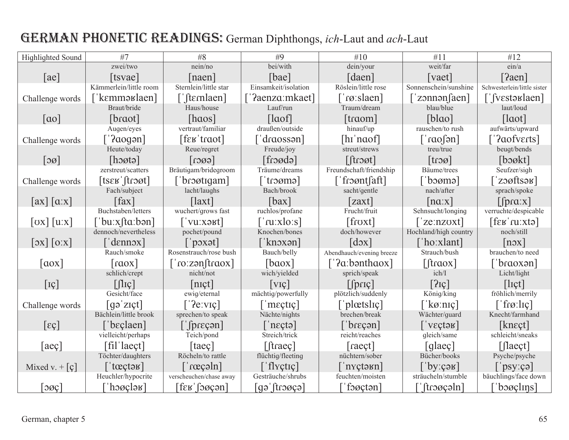# GERMAN PHONETIC READINGS: German Diphthongs, ich-Laut and ach-Laut

| Highlighted Sound                                              | #7                               | #8                               | #9                                 | #10                                                             | #11                         | #12                                                          |
|----------------------------------------------------------------|----------------------------------|----------------------------------|------------------------------------|-----------------------------------------------------------------|-----------------------------|--------------------------------------------------------------|
|                                                                | zwei/two                         | nein/no                          | bei/with                           | dein/your                                                       | weit/far                    | ein/a                                                        |
| ae                                                             | [tsvae]                          | naen                             | [bae]                              | [daen]                                                          | vaet                        | [?aen]                                                       |
|                                                                | Kämmerlein/little room           | Sternlein/little star            | Einsamkeit/isolation               | Röslein/little rose                                             | Sonnenschein/sunshine       | Schwesterlein/little sister                                  |
| Challenge words                                                | ˈˈkɛmməʁlaen]                    | [[fternlaen]                     | '?aenza:mkaet]                     | `røːslaen]                                                      | $\lceil$ 'zonnən salam      | [ˈʃvɛstəʁlaen]                                               |
|                                                                | Braut/bride                      | Haus/house                       | Lauf/run                           | Traum/dream                                                     | blau/blue                   | laut/loud                                                    |
| $\lceil$ ao]                                                   | [braot]                          | [haos]                           | $\lceil$ laof]                     | $[$ traom $]$                                                   | $[b]$ ao]                   | $\lceil$ laot $\rceil$                                       |
|                                                                | Augen/eyes                       | vertraut/familiar                | draußen/outside                    | hinauf/up                                                       | rauschen/to rush            | aufwärts/upward                                              |
| Challenge words                                                | $\lceil \text{2aogon} \rceil$    | [feʁ'traot]                      | ['draossən]                        | $[hi'naof]$                                                     | $\lceil \text{ne} \rceil$   | ''?aofverts]                                                 |
|                                                                | Heute/today                      | Reue/regret                      | Freude/joy                         | streut/strews                                                   | treu/true                   | beugt/bends                                                  |
| $\lceil 3\emptyset \rceil$                                     | [host]                           | $\lceil \cos \frac{1}{2} \rceil$ | [fn]                               | $[$ froøt]                                                      | $ t \cos $                  | [box]                                                        |
|                                                                | zerstreut/scatters               | Bräutigam/bridegroom             | Träume/dreams                      | Freundschaft/friendship                                         | Bäume/trees                 | Seufzer/sigh                                                 |
| Challenge words                                                | $[$ ts $\epsilon$ k $]$ froøt]   | 'broøtiqam]                      | [ˈtɾɔømə]                          | ['froøntsaft]                                                   | [ˈbɔømə]                    | $z$ ooftsə $\mathbf{F}$                                      |
|                                                                | Fach/subject                     | lacht/laughs                     | Bach/brook                         | sacht/gentle                                                    | nach/after                  | sprach/spoke                                                 |
| [ax] [a:x]                                                     | $\lceil \text{fax} \rceil$       | $\lceil$ laxt]                   | $\lceil$ bax $\rceil$              | [zaxt]                                                          | $\lfloor n a x \rfloor$     | $[$ f $prax$ $]$                                             |
|                                                                | Buchstaben/letters               | wuchert/grows fast               | ruchlos/profane                    | Frucht/fruit                                                    | Sehnsucht/longing           | verruchte/despicable                                         |
| $\left[\text{ox}\right]\left[\text{u}:\text{x}\right]$         | 'buːxftaːbən]                    | [ˈvuːxəʁt]                       | ['ruːxloːs]                        | [froxt]                                                         | 'ze:nzoxt]                  | $[$ f $\epsilon$ K $^{\prime}$ ru $^{\prime}$ xtə $\epsilon$ |
|                                                                | dennoch/nevertheless             | pochet/pound                     | Knochen/bones                      | doch/however                                                    | Hochland/high country       | noch/still                                                   |
| $\left[ \text{ox} \right]$ $\left[ \text{o} \text{.x} \right]$ | denn                             | $[$ pox $\mathsf{at}$            | [ˈknɔxən]                          | $\lceil d \circ x \rceil$                                       | ['hoːxlant]                 | $[n\infty]$                                                  |
|                                                                | Rauch/smoke                      | Rosenstrauch/rose bush           | Bauch/belly                        | Abendhauch/evening breeze                                       | Strauch/bush                | brauchen/to need                                             |
| $\lceil a \cdot x \rceil$                                      | $\lfloor \text{rox} \rfloor$     | $[{\text{ro:zen}]}$              | $\lceil$ baox $\rceil$             | $\lceil$ '?a:bənthaox]                                          | $[$ fraox]                  | 'braoxən]                                                    |
|                                                                | schlich/crept                    | nicht/not                        | wich/yielded                       | sprich/speak                                                    | ich/I                       | Licht/light                                                  |
| $[\mathrm{I}\mathrm{\c{C}}]$                                   | $\lceil \ln \cceil$              | [n <sub>I</sub> ct]              | $ V_{\rm IC} $                     | $\lceil$ priç $\rceil$                                          | [2]                         | [let]                                                        |
|                                                                | Gesicht/face                     | ewig/eternal                     | mächtig/powerfully                 | plötzlich/suddenly                                              | König/king                  | fröhlich/merrily                                             |
| Challenge words                                                | $\lceil$ gə ziçt $\rceil$        | $\lceil$ '?eːvɪç]                | $\lceil \cdot \text{msetq} \rceil$ | ['plœtslɪç]                                                     | [' $k\varnothing$ :nic]     | $\lceil$ frø:liç]                                            |
|                                                                | Bächlein/little brook            | sprechen/to speak                | Nächte/nights                      | brechen/break                                                   | Wächter/guard               | Knecht/farmhand                                              |
| $[\epsilon \varsigma]$                                         | 'bɛçlaen]                        | $\lceil$ [preçən]                | $\lceil$ 'n $\epsilon$ ctə]        | $'$ br $\epsilon$ cən $\overline{\phantom{a}}$                  | $\lceil$ veçtək]            | [ $knect$ ]                                                  |
|                                                                | vielleicht/perhaps               | Teich/pond                       | Streich/trick                      | reicht/reaches                                                  | qleich/same                 | schleicht/sneaks                                             |
| [aeç]                                                          | $\lceil \text{fil} \rceil$ laect | [taeç $\vert$ ]                  | $[$ fraec $]$                      | raect]                                                          | [qlaeç]                     | $\lceil$ [laect]                                             |
|                                                                | Töchter/daughters                | Röcheln/to rattle                | flüchtig/fleeting                  | nüchtern/sober                                                  | Bücher/books                | Psyche/psyche                                                |
| Mixed v. $\lceil \varphi \rceil$                               | $\lceil$ tœçtə $\kappa$ ]        | $rac{1}{\alpha}$                 | $\lceil$ 'flyçtiç]                 | $\lceil n \times \text{t} \cdot \text{b} \cdot \text{b} \rceil$ | [ˈbyːçəʁ]                   | $[\n]$ psy:çə]                                               |
|                                                                | Heuchler/hypocrite               | verscheuchen/chase away          | Gesträuche/shrubs                  | feuchten/moisten                                                | sträucheln/stumble          | bäuchlings/face down                                         |
| $  \log  $                                                     | $^\prime$ hoøçlə $\rm{B}^\prime$ | [fɛʁˈʃɔøçən]                     | $\lceil \text{eg}(t) \rceil$       | $'$ foøçtən $]$                                                 | $\lceil$ ftroøçəln $\rceil$ | $\log_{\rm g}$                                               |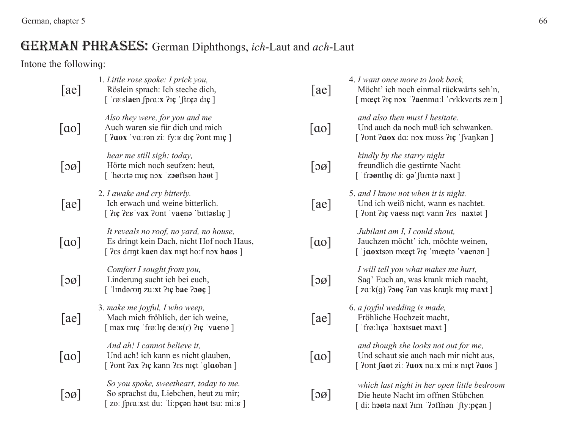## GERMAN PHRASES: German Diphthongs, *ich*-Laut and *ach*-Laut

Intone the following:

| [ae]                       | 1. Little rose spoke: I prick you,<br>Röslein sprach: Ich steche dich,<br>$\lceil$ 'rø:slaen fpr $\alpha$ :x ? $\iota$ ce 'fteçə d $\iota$ ce'                             | ae                         | 4. I want once more to look back,<br>Möcht' ich noch einmal rückwärts seh'n,<br>[ moect ?ic nox '?aenma:1 'rykkverts ze:n ]                     |
|----------------------------|----------------------------------------------------------------------------------------------------------------------------------------------------------------------------|----------------------------|-------------------------------------------------------------------------------------------------------------------------------------------------|
| $\lceil$ ao $\rceil$       | Also they were, for you and me<br>Auch waren sie für dich und mich<br>[ <i>Paox</i> 'va: ron zi: fy: k diç <i>Pont</i> miç ]                                               | $\lceil$ ao]               | and also then must I hesitate.<br>Und auch da noch muß ich schwanken.<br>[ ?ont ?aox da: nox moss ?iç 'fvankon ]                                |
| $\lceil 3\emptyset \rceil$ | hear me still sigh: today,<br>Hörte mich noch seufzen: heut,<br>$[$ 'hø: $rt$ ə mıç nəx 'zə $\sigma$ ftsən hə $\sigma$ t]                                                  | $\lceil 3\emptyset \rceil$ | kindly by the starry night<br>freundlich die gestirnte Nacht<br>[ 'from tlic di: go' furnto naxt ]                                              |
| [ae]                       | 2. I awake and cry bitterly.<br>Ich erwach und weine bitterlich.<br>[ ?iç ?eʁ vax ?ont 'vaenə 'bittəʁliç ]                                                                 | [ae]                       | 5. and I know not when it is night.<br>Und ich weiß nicht, wann es nachtet.<br>[ ?ont ?ic vaess nict vann ?es 'naxtat ]                         |
| ao                         | It reveals no roof, no yard, no house,<br>Es dringt kein Dach, nicht Hof noch Haus,<br>[ ?es drint kaen dax nict ho:f nox haos ]                                           | ao                         | Jubilant am I, I could shout,<br>Jauchzen möcht' ich, möchte weinen,<br>$\lceil$ 'jaoxtson mύt ? $\iota$ c 'mύto 'vaenon ]                      |
| [30]                       | Comfort I sought from you,<br>Linderung sucht ich bei euch,<br>['lindəron zu: xt ?iç bae ? $\log$ ]                                                                        | $\lceil 3\emptyset \rceil$ | I will tell you what makes me hurt,<br>Sag' Euch an, was krank mich macht,<br>$\lceil$ za: $k(g)$ ? <b>300</b> ; ?an vas kraņk miç maxt ]       |
| ae                         | 3. make me joyful, I who weep,<br>Mach mich fröhlich, der ich weine,<br>$\lceil \max \text{mig }$ frø:lig de: $\mathbf{g}(r)$ ?ig 'vaens $\lceil \text{max }$              | [a <sub>e</sub> ]          | 6. a joyful wedding is made,<br>Fröhliche Hochzeit macht,<br>['frø:lɪçə 'hoxtsaet maxt]                                                         |
| $[\alpha o]$               | And ah! I cannot believe it,<br>Und ach! ich kann es nicht glauben,<br>[ ?ont ?ax ?iç kann ?es niçt 'glaoban ]                                                             | $\lceil$ ao]               | and though she looks not out for me,<br>Und schaut sie auch nach mir nicht aus,<br>[ $2$ ont faot zi: $2a$ ox na: x mi: $\kappa$ nigt $2a$ os ] |
| 30                         | So you spoke, sweetheart, today to me.<br>So sprachst du, Liebchen, heut zu mir;<br>zo: $\int \frac{\rho}{\alpha} x s t \, du$ : 'li: $\rho \rho$ on host tsu: mi: $\nu$ ] | $\lfloor$ oø $\rfloor$     | which last night in her open little bedroom<br>Die heute Nacht im offnen Stübchen<br>[di: hooto naxt ?im '?offnon 'fty:pcon ]                   |
|                            |                                                                                                                                                                            |                            |                                                                                                                                                 |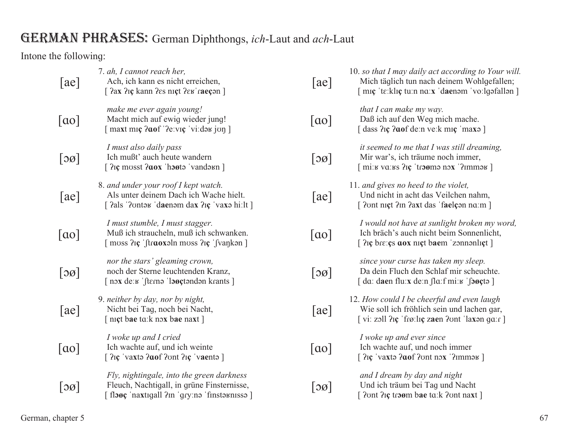# GERMAN PHRASES: German Diphthongs, ich-Laut and ach-Laut

Intone the following:

| [ae]         | 7. ah, I cannot reach her,<br>Ach, ich kann es nicht erreichen,<br>[ ?ax ?iç kann ?es niçt ?eʁ 'raeçon ]                                                                         | [ae]                       | 10. so that I may daily act according to Your will.<br>Mich täglich tun nach deinem Wohlgefallen;<br>[ miç 'tɛːklɪç tuːn nɑːx 'daenəm 'voːlgəfallən ]                            |
|--------------|----------------------------------------------------------------------------------------------------------------------------------------------------------------------------------|----------------------------|----------------------------------------------------------------------------------------------------------------------------------------------------------------------------------|
| ao           | make me ever again young!<br>Macht mich auf ewig wieder jung!<br>$\lceil \text{maxt mr } 2 \text{cof } 2e$ : vi: day jun $\lceil \text{maxt mr } 2 \text{cof } 2e$ : vi: day jun | $\lceil$ ao]               | that I can make my way.<br>Daß ich auf den Weg mich mache.<br>[dass ?iç ?aof de:n ve:k miç 'maxə ]                                                                               |
| $\log$       | I must also daily pass<br>Ich mußt' auch heute wandern<br>[ $2i$ c musst $2aox$ 'hosta 'vandarn]                                                                                 | $\lceil 3\emptyset \rceil$ | it seemed to me that I was still dreaming,<br>Mir war's, ich träume noch immer,<br>$\lceil \text{mix} \times \text{vars} \rceil$ $\lceil \text{trans} \times \text{vars} \rceil$ |
| [ae]         | 8. and under your roof I kept watch.<br>Als unter deinem Dach ich Wache hielt.<br>[ ?als '?ontax 'daenam dax ?iç 'vaxa hi:lt ]                                                   | [ae]                       | 11. and gives no heed to the violet,<br>Und nicht in acht das Veilchen nahm,<br>[ ?ont nict ?in ?axt das 'faelcon no.m ]                                                         |
| $\lceil$ ao] | I must stumble, I must stagger.<br>Muß ich straucheln, muß ich schwanken.<br>[ moss ?iç 'ftraoxaln moss ?iç 'fvankan ]                                                           | $\lceil$ ao $\rceil$       | I would not have at sunlight broken my word,<br>Ich bräch's auch nicht beim Sonnenlicht,<br>[ ?iç bre: çs aox niçt baem 'zonnənliçt]                                             |
| 30           | nor the stars' gleaming crown,<br>noch der Sterne leuchtenden Kranz,<br>$\lceil$ nox de: $\kappa$ 'fterna 'logetandan krants $\lceil$                                            | $\lceil 30 \rceil$         | since your curse has taken my sleep.<br>Da dein Fluch den Schlaf mir scheuchte.<br>$\lceil$ da: daen flu:x de:n fla:f mi: $\kappa$ 'fogeto $\lceil$                              |
| ae           | 9. neither by day, nor by night,<br>Nicht bei Tag, noch bei Nacht,<br>[ nict bae to:k nox bae naxt ]                                                                             | [ae]                       | 12. How could I be cheerful and even laugh<br>Wie soll ich fröhlich sein und lachen gar,<br>[vi: zoll ?iç 'frø:liç zaen ?ont 'laxon ga:r ]                                       |
| ao           | I woke up and I cried<br>Ich wachte auf, und ich weinte<br>$[$ $2i\mathfrak{c}$ 'vaxta $2\mathfrak{a}$ of $2\mathfrak{c}$ and $2i\mathfrak{c}$ 'vaenta $]$                       | $\lceil$ ao]               | I woke up and ever since<br>Ich wachte auf, und noch immer<br>$[$ $2$ Ic 'vaxtə $2$ aof $2$ ont nox ' $2$ Immə $\le$ ]                                                           |
| 30           | Fly, nightingale, into the green darkness<br>Fleuch, Nachtigall, in grüne Finsternisse,<br>[flooç 'naxtıgall ?m 'gry:nə 'finstəʁnɪssə]                                           | 30                         | and I dream by day and night<br>Und ich träum bei Tag und Nacht<br>[ ?ont ? iç troøm bae to: k ?ont naxt ]                                                                       |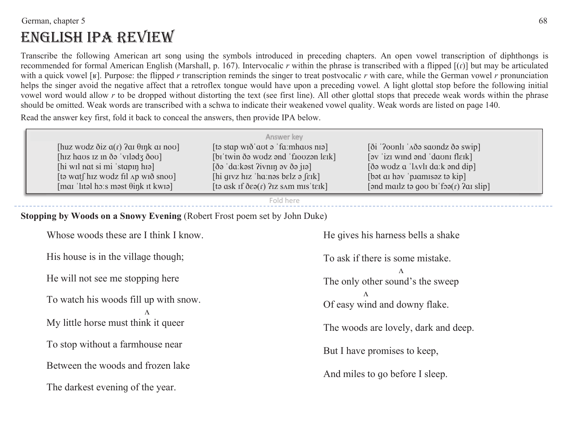#### the German, chapter 5 and the state of  $\sim 68$

# ENGLISH IPA REVIEW

Transcribe the following American art song using the symbols introduced in preceding chapters. An open vowel transcription of diphthongs is recommended for formal American English (Marshall, p. 167). Intervocalic  $r$  within the phrase is transcribed with a flipped  $[(r)]$  but may be articulated with a quick vowel [ $\kappa$ ]. Purpose: the flipped *r* transcription reminds the singer to treat postvocalic *r* with care, while the German vowel *r* pronunciation helps the singer avoid the negative affect that a retroflex tonque would have upon a preceding vowel. A light qlottal stop before the following initial vowel word would allow r to be dropped without distorting the text (see first line). All other glottal stops that precede weak words within the phrase should be omitted. Weak words are transcribed with a schwa to indicate their weakened vowel quality. Weak words are listed on paqe 140.

Read the answer key first, fold it back to conceal the answers, then provide IPA below.

|                                                                | Answer key                                                                     |                                                                        |
|----------------------------------------------------------------|--------------------------------------------------------------------------------|------------------------------------------------------------------------|
| [huz wodz $\delta$ iz $a(r)$ ? as $\theta$ ink as nov]         | $[$ ta stap wið aut a 'fa: mhaus nia $]$                                       | $[\delta i]$ '?ovnli ' $\Delta \delta \rho$ savndz $\delta \rho$ swip] |
| [hiz haos iz in $\delta$ ə 'vilədz $\delta$ ov]                | [bɪ'twin ðə wodz ənd 'fioozən lɛɪk]                                            | $[$ av $'$ izi wind and $'da$ on $f$ leik $]$                          |
| [hi wil not si mi 'stapin hia]                                 | $\delta$ da: kəst ?ivnin əv $\delta$ ə jiə                                     | $\delta$ wodz a 'lavli da: k and dip]                                  |
| [tə wat $\int$ hiz wodz fil $\Delta p$ wið snov]               | $\left[\right]$ hi givz hiz 'ha:nəs belz ə $\left[\right]$ eik $\left[\right]$ | [bət at həv $'$ p. Jamisəz tə kip]                                     |
| $\lceil \text{ma} \rceil$ litel ho:s most $\theta$ ink it kwio | $[$ ta ask if $\delta \epsilon$ a $(r)$ ? iz sam mis 'teik]                    | [ $\alpha$ ] [and mailz ta gov bi foa $(r)$ ?ai slip                   |

Fold here

#### **Stopping by Woods on a Snowy Evening** (Robert Frost poem set by John Duke)

Whose woods these are I think I know. His house is in the village though;

He will not see me stopping here

To watch his woods fill up with snow.

 $\Lambda$ 

My little horse must think it queer

To stop without a farmhouse near

Between the woods and frozen lake

The darkest evening of the year.

He gives his harness bells a shake

To ask if there is some mistake. $\Lambda$ The only other sound's the sweep  $\Lambda$ Of easy wind and downy flake.

The woods are lovely, dark and deep.

But I have promises to keep,

And miles to go before I sleep.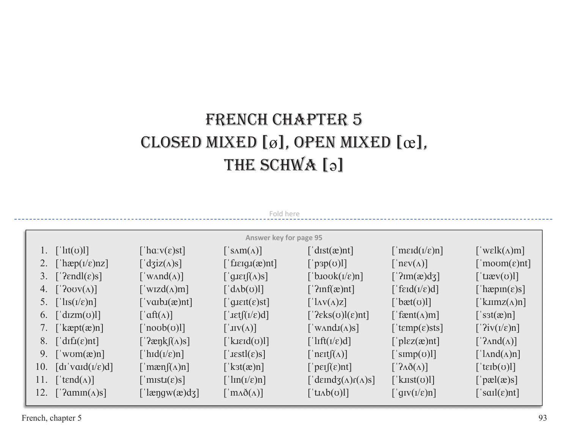# FRENCH CHAPTER 5 CLOSED MIXED [ø], OPEN MIXED [œ], THE SCHWA [2]

| Fold here                                                                                                                       |                                                           |                                                                   |                                        |                                                     |                                                    |  |  |  |  |
|---------------------------------------------------------------------------------------------------------------------------------|-----------------------------------------------------------|-------------------------------------------------------------------|----------------------------------------|-----------------------------------------------------|----------------------------------------------------|--|--|--|--|
| <b>Answer key for page 95</b>                                                                                                   |                                                           |                                                                   |                                        |                                                     |                                                    |  |  |  |  |
| 1. $\lceil \ln(v) \rceil$                                                                                                       | ['ha: $v(\epsilon)$ st]                                   | $\lceil \sin(\Lambda) \rceil$                                     | $\lceil$ 'dist $(\mathfrak{E})$ nt]    | $\lceil \text{'merd}(1/\epsilon)n \rceil$           | ['wɛlk( $\Lambda$ )m]                              |  |  |  |  |
| 2. ['hæp( $I/\varepsilon$ )nz]                                                                                                  |                                                           | ['fiεigi(æ)nt]                                                    | [ $'$ p <sub>3</sub> p( $\sigma$ )]]   | $\lceil \text{new}(\Lambda) \rceil$                 | $\lceil \text{moom}(\varepsilon) \text{nt} \rceil$ |  |  |  |  |
| 3. $[\text{'Pendl}(\varepsilon)s]$                                                                                              | $\lceil$ 'WAnd $(\Lambda)\rceil$                          | $\left[ \text{`gJæI](A)S} \right]$                                | ['b.100 $k(i/\epsilon)n$ ]             | [' $2 \text{Im}(\mathbf{a}) \text{d}(\mathbf{c})$ ] | ['t <i>x</i> ev( $\sigma$ )]]                      |  |  |  |  |
| 4. $\lceil$ '?ov $(v(\Lambda))$ ]                                                                                               | ['wizd( $\Lambda$ )m]                                     | $\left[ d_{\Lambda}b(\sigma)l\right]$                             | [' $2inf(\mathcal{X})$ nt]             | $\lceil \text{ferd}(I/\varepsilon)d \rceil$         | ['hæpm $(\epsilon)$ s]                             |  |  |  |  |
| 5. $\left[\text{ls}(1/\epsilon)n\right]$                                                                                        | $\lceil \text{valbJ}(\mathbf{x})\text{nt} \rceil$         | $\lceil \text{'}g\text{I}\text{Eit}(\varepsilon)\text{st} \rceil$ | $\lceil \ln v(\Lambda)z \rceil$        | ['bæt( $\sigma$ )]]                                 | ['k $\lim_{\lambda}z(\Lambda)$ n]                  |  |  |  |  |
| 6. $\left[\text{dizm}(v)\right]$                                                                                                | $\lceil \text{aff}(\Lambda) \rceil$                       | $\lceil \text{let} \rceil \rceil (1/\epsilon) d \rceil$           | [' $?eks(\sigma)[\epsilon]$ nt]        | ['fænt( $\Lambda$ )m]                               | $\lceil$ 's3t $(\mathfrak{E})$ n]                  |  |  |  |  |
| ['kæpt $(\mathfrak{m})$ n]<br>7.                                                                                                | $\lceil \text{}'\text{no}$ (v) $\lceil \text{'}\text{no}$ | $\lceil$ 'JIV $(\Lambda)$ ]                                       | ['w $\text{and} \text{I}(\Lambda)$ s]  | ['tɛmp(ɛ)sts]                                       | $\lceil$ '?iv( $\iota/\varepsilon$ )n]             |  |  |  |  |
| 8.<br>$\left[ \text{dif}(\varepsilon)$ nt]                                                                                      | $\lceil$ '?ænk $\lceil(\Lambda)s\rceil$                   | ['kiɛɪd $(\sigma)$ ]]                                             | $[\text{lift}(I/\epsilon)d]$           | ['pl $\epsilon z(\mathbf{\hat{x}})$ nt]             | $[\Delta \text{and}(\Lambda)]$                     |  |  |  |  |
| 9.<br>$\lceil \text{'wom}(x) \text{n} \rceil$                                                                                   | ['hid $(i/\varepsilon)n$ ]                                | [ $"astl(\varepsilon)s$ ]                                         | $\lceil \text{?next}(\Lambda) \rceil$  | $\lceil \text{'simp}(\sigma) \rceil \rceil$         | $\lceil \ln nd(\Lambda)n \rceil$                   |  |  |  |  |
| 10.<br>$\lceil \mathrm{d} \mathrm{I} \cdot \mathrm{v} \mathrm{d} \mathrm{d} \mathrm{I} / \epsilon \mathrm{d} \mathrm{I} \rceil$ | $\lceil \text{mean}(\Lambda)n \rceil$                     | [ $kst(\mathbf{x})$ n]                                            | $\lceil \mathsf{pei}(\varepsilon)$ nt] | $[^{n}2\Lambda\check{O}(\Lambda)]$                  | [' $t \in B(\sigma)$ ]]                            |  |  |  |  |
| [' $tend(\Lambda)$ ]<br>11.                                                                                                     | $\lceil \text{imisti}(\varepsilon)s \rceil$               | $\lceil \ln(\frac{I}{\epsilon})n \rceil$                          | ['dɛɪndʒ( $\Lambda$ ) $r(\Lambda)s$ ]  | ['kust( $\sigma$ )]]                                | [' $p$ æl $(x)$ s]                                 |  |  |  |  |
| 12.<br>$\lceil$ '?amın $(\Lambda)$ s]                                                                                           | [' $\text{length}(x) \text{d}z$ ]                         | $\lceil \text{max}\delta(\Lambda) \rceil$                         | ['tɪʌb( $\sigma$ )]]                   | $\lceil \text{grv}(1/\epsilon)n \rceil$             | $\lceil \text{sal}(\varepsilon) \text{nt} \rceil$  |  |  |  |  |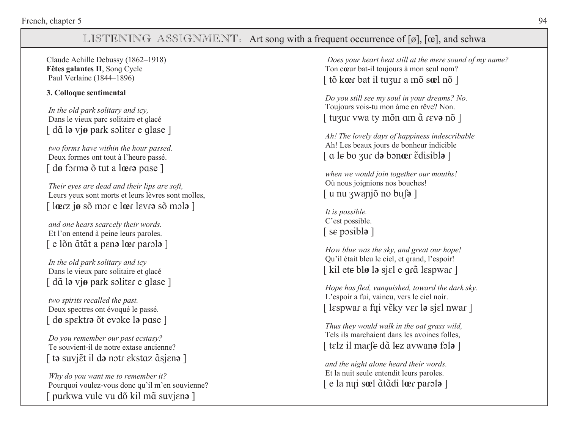### LISTENING ASSIGNMENT: Art song with a frequent occurrence of [ø], [œ], and schwa

Claude Achille Debussy (1862-1918) Fêtes galantes II, Song Cycle Paul Verlaine (1844–1896)

#### 3. Colloque sentimental

In the old park solitary and icy, Dans le vieux parc solitaire et glacé [ dã la viø park soliter e glase ]

two forms have within the hour passed. Deux formes ont tout à l'heure passé.  $\lceil$  dø forma  $\delta$  tut a læra pase  $\rceil$ 

Their eyes are dead and their lips are soft, Leurs yeux sont morts et leurs lèvres sont molles,  $\lceil \sec z \rceil$  is so more loer levre so mole  $\rceil$ 

and one hears scarcely their words. Et l'on entend à peine leurs paroles.  $\lceil$  e lõn  $\tilde{a}$ tãt a pena lœr parola  $\lceil$ 

In the old park solitary and icy Dans le vieux parc solitaire et qlacé [ dã la viø park soliter e glase ]

two spirits recalled the past. Deux spectres ont évoqué le passé. [ dø spektra õt evoke la pose ]

Do you remember our past ecstasy? Te souvient-il de notre extase ancienne? [ ta suvjet il da notr ekstaz asjena ]

Why do you want me to remember it? Pourquoi voulez-vous donc qu'il m'en souvienne? [ purkwa vule vu dõ kil mã suvjena ]

Does your heart beat still at the mere sound of my name? Ton cœur bat-il toujours à mon seul nom? [tõ kœr bat il tuzur a mõ sœl nõ]

Do you still see my soul in your dreams? No. Toujours vois-tu mon âme en rêve? Non. [ tuzur vwa ty mỗn am  $\tilde{a}$  reva nỗ ]

Ah! The lovely days of happiness indescribable Ah! Les beaux jours de bonheur indicible  $\lceil$  a le bo zur da bonær  $\tilde{\epsilon}$ disibla  $\lceil$ 

when we would join together our mouths! Où nous joignions nos bouches!  $\lceil$  u nu zwanjõ no bust $\rceil$ 

It is possible. C'est possible.  $\lceil$  se posibla  $\rceil$ 

How blue was the sky, and great our hope! Ou'il était bleu le ciel, et grand, l'espoir! [kil ete blø la sjel e grå lespwar]

Hope has fled, vanquished, toward the dark sky. L'espoir a fui, vaincu, vers le ciel noir. [ lespwar a fyi věky ver la sjel nwar ]

Thus they would walk in the oat grass wild, Tels ils marchaient dans les avoines folles, [ telz il marfe dã lez avwana fola ]

and the night alone heard their words. Et la nuit seule entendit leurs paroles. [ e la nui soel  $\tilde{a}$ tadi loer parola ]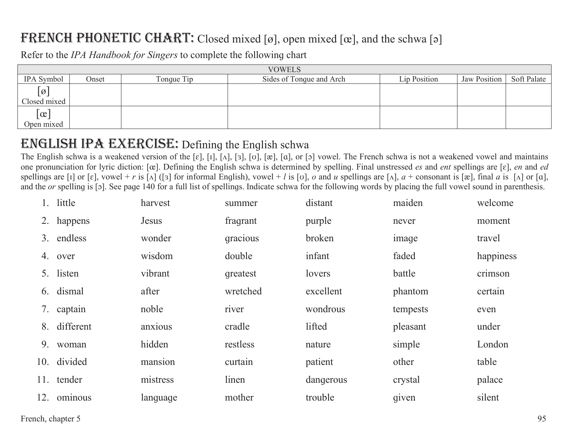# FRENCH PHONETIC CHART: Closed mixed [ø], open mixed [œ], and the schwa [ə]

Refer to the IPA Handbook for Singers to complete the following chart

| <b>VOWELS</b>       |       |            |                          |              |              |             |  |  |
|---------------------|-------|------------|--------------------------|--------------|--------------|-------------|--|--|
| IPA Symbol          | Onset | Tonque Tip | Sides of Tonque and Arch | Lip Position | Jaw Position | Soft Palate |  |  |
| $\overline{\omega}$ |       |            |                          |              |              |             |  |  |
| Closed mixed        |       |            |                          |              |              |             |  |  |
| $\alpha$            |       |            |                          |              |              |             |  |  |
| Open mixed          |       |            |                          |              |              |             |  |  |

## **ENGLISH IPA EXERCISE:** Defining the English schwa

The English schwa is a weakened version of the [ɛ], [ɪ], [ʌ], [ɔ], [o], [æ], [ɑ], or [ɔ] vowel. The French schwa is not a weakened vowel and maintains one pronunciation for lyric diction: [œ]. Defining the English schwa is determined by spelling. Final unstressed es and ent spellings are [ɛ], en and ed spellings are [1] or [ε], vowel + r is [Λ] ([3] for informal English), vowel + l is [v], o and u spellings are [Λ],  $a$  + consonant is [æ], final a is [Λ] or [a], and the or spelling is [5]. See page 140 for a full list of spellings. Indicate schwa for the following words by placing the full vowel sound in parenthesis.

|     | little      | harvest  | summer   | distant   | maiden   | welcome   |
|-----|-------------|----------|----------|-----------|----------|-----------|
|     | 2. happens  | Jesus    | fragrant | purple    | never    | moment    |
| 3.  | endless     | wonder   | gracious | broken    | image    | travel    |
|     | 4. over     | wisdom   | double   | infant    | faded    | happiness |
|     | 5. listen   | vibrant  | qreatest | lovers    | battle   | crimson   |
|     | 6. dismal   | after    | wretched | excellent | phantom  | certain   |
|     | 7. captain  | noble    | river    | wondrous  | tempests | even      |
| 8.  | different   | anxious  | cradle   | lifted    | pleasant | under     |
| 9.  | woman       | hidden   | restless | nature    | simple   | London    |
|     | 10. divided | mansion  | curtain  | patient   | other    | table     |
|     | 11. tender  | mistress | linen    | dangerous | crystal  | palace    |
| 12. | ominous     | language | mother   | trouble   | given    | silent    |
|     |             |          |          |           |          |           |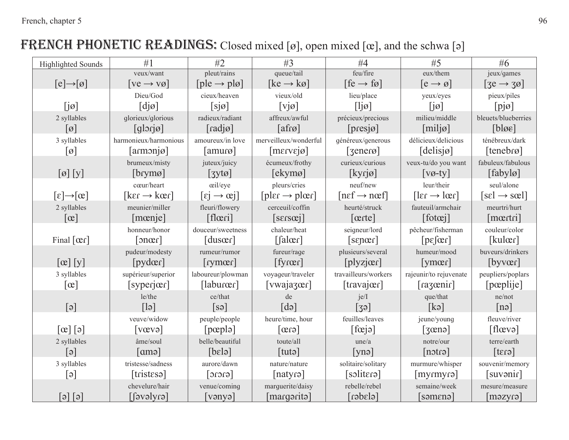# FRENCH PHONETIC READINGS: Closed mixed [ø], open mixed [œ], and the schwa [ə]

| <b>Highlighted Sounds</b>                              | #1                            | #2                                | #3                              | #4                                | #5                                    | #6                         |
|--------------------------------------------------------|-------------------------------|-----------------------------------|---------------------------------|-----------------------------------|---------------------------------------|----------------------------|
|                                                        | veux/want                     | pleut/rains                       | queue/tail                      | feu/fire                          | eux/them                              | jeux/games                 |
| $[e] \rightarrow [0]$                                  | $[ve \rightarrow v\emptyset]$ | $[ple \rightarrow pl\varnothing]$ | $[ke \rightarrow k\varnothing]$ | $[fe \rightarrow fe]$             | $[e \rightarrow \emptyset]$           | $[3e \rightarrow 30]$      |
|                                                        | Dieu/God                      | cieux/heaven                      | vieux/old                       | lieu/place                        | yeux/eyes                             | pieux/piles                |
| $[j\emptyset]$                                         | $\lceil \text{d} \rceil$      | [s]                               | $[{\rm v}]$                     | $\lceil$ ljø]                     | $[i\omega]$                           | [p]                        |
| 2 syllables                                            | glorieux/glorious             | radieux/radiant                   | affreux/awful                   | précieux/precious                 | milieu/middle                         | bleuets/blueberries        |
| $\lceil \varnothing \rceil$                            | $\lceil$ glorjø $\rceil$      | $[rad\overline{\rho}]$            | [afro]                          | [pres]                            | [mil]                                 | [b]                        |
| 3 syllables                                            | harmonieux/harmonious         | amoureux/in love                  | merveilleux/wonderful           | généreux/generous                 | délicieux/delicious                   | ténébreux/dark             |
| $\lceil \varnothing \rceil$                            | [armon]                       | $\lceil$ amurø $\rceil$           | $[\text{merve}]$                | $\lceil$ 3enerø $\rceil$          | $\lceil$ delisjø $\rceil$             | [tenebro]                  |
|                                                        | brumeux/misty                 | juteux/juicy                      | écumeux/frothy                  | curieux/curious                   | veux-tu/do you want                   | fabuleux/fabulous          |
| $\left[\emptyset\right]\left[\mathbf{y}\right]$        | [brymø]                       | $[3y \text{ to}]$                 | [ekymø]                         | [kyr]                             | $\lceil v\omega - ty \rceil$          | [faby]                     |
|                                                        | cœur/heart                    | œil/eye                           | pleurs/cries                    | neuf/new                          | leur/their                            | seul/alone                 |
| $[\epsilon] \rightarrow [\alpha]$                      | $[\ker \rightarrow \ker]$     | $[\epsilon] \rightarrow \infty$   | $[pler \rightarrow plær]$       | $[{\rm nef}\rightarrow{\rm nef}]$ | $[\text{ler} \rightarrow \text{ler}]$ | $[sel \rightarrow sel]$    |
| 2 syllables                                            | meunier/miller                | fleuri/flowery                    | cerceuil/coffin                 | heurté/struck                     | fauteuil/armchair                     | meurtri/hurt               |
| $\lceil \infty \rceil$                                 | [mœnje]                       | [flæri]                           | [ssrscj]                        | $[\text{cert}]$                   | [footoj]                              | $[\text{mertri}]$          |
|                                                        | honneur/honor                 | douceur/sweetness                 | chaleur/heat                    | seigneur/lord                     | pêcheur/fisherman                     | couleur/color              |
| Final $[\text{cer}]$                                   | [1.00cm]                      | [cluster]                         | $\left[ \text{false} \right]$   | [server]                          | $[pe[\alpha]1]$                       | [kulær]                    |
|                                                        | pudeur/modesty                | rumeur/rumor                      | fureur/rage                     | plusieurs/several                 | humeur/mood                           | buveurs/drinkers           |
| $\lceil \mathrm{ce} \rceil$ $\lceil \mathrm{y} \rceil$ | [pydær]                       | $[\text{rymer}]$                  | [ <i>figure</i> <sub>f</sub> ]  | $[$ plyzjœr $]$                   | [ <i>ym</i> er]                       | $[byv\alpha]$              |
| 3 syllables                                            | supérieur/superior            | laboureur/plowman                 | voyageur/traveler               | travailleurs/workers              | rajeunir/to rejuvenate                | peupliers/poplars          |
| $\lceil \infty \rceil$                                 | [syperj <sub>αf</sub> ]       | [laburœr]                         | $[vwajaz\alpha]1$               | $[\text{travajær}]$               | $\lceil$ razœnir $\rceil$             | [pœplije]                  |
|                                                        | le/the                        | ce/that                           | de                              | je/I                              | que/that                              | ne/not                     |
| [6]                                                    | $\lceil a \rceil$             | [s <sub>3</sub> ]                 | $\lceil d$ ə $\rceil$           | $\lceil 39 \rceil$                | [k]                                   | [nə]                       |
|                                                        | veuve/widow                   | peuple/people                     | heure/time, hour                | feuilles/leaves                   | jeune/young                           | fleuve/river               |
| $\lceil \mathrm{e} \rceil \lceil \mathrm{e} \rceil$    | $ v$ $\alpha v_{\theta} $     | [peph]                            | $\lceil \text{erg} \rceil$      | $[\text{fe}]$                     | $\lceil \text{gena} \rceil$           | $[\text{flex}]\$           |
| 2 syllables                                            | âme/soul                      | belle/beautiful                   | toute/all                       | une/a                             | notre/our                             | terre/earth                |
| $\lceil e \rceil$                                      | $\lceil$ amə $\rceil$         | [bels]                            | $[$ tutə $]$                    | [ynə]                             | $[$ notra $]$                         | $\lceil \text{erg} \rceil$ |
| 3 syllables                                            | tristesse/sadness             | aurore/dawn                       | nature/nature                   | solitaire/solitary                | murmure/whisper                       | souvenir/memory            |
| $\lceil e \rceil$                                      | $[t$ ristesa $]$              | error                             | $\lceil$ natyrə $\rceil$        | $\lceil$ solitera                 | $[$ myrmyrə $]$                       | [suvənir]                  |
|                                                        | chevelure/hair                | venue/coming                      | marguerite/daisy                | rebelle/rebel                     | semaine/week                          | mesure/measure             |
| $\left[\circ\right]\left[\circ\right]$                 | [enyleve]]                    | $\lceil$ vənyə $\rceil$           | $[\text{marg}$ aritə $]$        | [elɜdɕ1]                          | [s <sub>5</sub> <sup>8</sup> ]        | $[\text{məzyrə}]$          |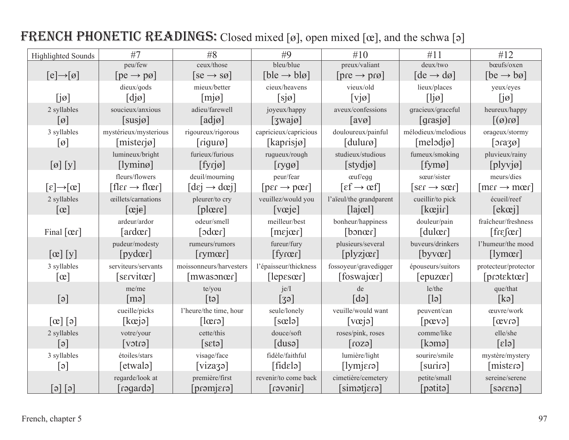| <b>Highlighted Sounds</b>                       | #7                           | #8                                                            | #9                                                | #10                                                     | #11                             | #12                            |
|-------------------------------------------------|------------------------------|---------------------------------------------------------------|---------------------------------------------------|---------------------------------------------------------|---------------------------------|--------------------------------|
|                                                 | peu/few                      | ceux/those                                                    | bleu/blue                                         | preux/valiant                                           | deux/two                        | bœufs/oxen                     |
| $[e] \rightarrow [0]$                           | $[pe \rightarrow p\omega]$   | $[se \rightarrow s\varnothing]$                               | $[b]e \rightarrow bl\emptyset$                    | $[pre \rightarrow pre]$                                 | $[de \rightarrow d\varnothing]$ | $[be \rightarrow ba]$          |
|                                                 | dieux/gods                   | mieux/better                                                  | cieux/heavens                                     | vieux/old                                               | lieux/places                    | yeux/eyes                      |
| $[j\omega]$                                     | $\lceil \text{d} \rceil$     | [m]                                                           | [sja]                                             | $[v]$ ø]                                                | $\lceil$ ljø $\rceil$           | $[i\omega]$                    |
| 2 syllables                                     | soucieux/anxious             | adieu/farewell                                                | joyeux/happy                                      | aveux/confessions                                       | gracieux/graceful               | heureux/happy                  |
| $\lceil \varnothing \rceil$                     | $[susj\emptyset]$            | $[ad\overline{\rho}]$                                         | $[3wa]\emptyset$                                  | $\lceil \text{avg} \rceil$                              | $\lceil \text{grasj\o} \rceil$  | $\lceil \omega(\alpha) \rceil$ |
| 3 syllables                                     | mystérieux/mysterious        | rigoureux/rigorous                                            | capricieux/capricious                             | douloureux/painful                                      | mélodieux/melodious             | orageux/stormy                 |
| $[\emptyset]$                                   | [mister]                     | [right]                                                       | [kaprisjø]                                        | $[du u\infty]$                                          | $[melodj\omega]$                | $\lceil$ orazø]                |
|                                                 | lumineux/bright              | furieux/furious                                               | rugueux/rough                                     | studieux/studious                                       | fumeux/smoking                  | pluvieux/rainy                 |
| $\left[\emptyset\right]\left[\mathbf{y}\right]$ | [lymin <sub>0</sub> ]        | $[fyrj\omega]$                                                | $[ryg\sigma]$                                     | [style]                                                 | [fym0]                          | [plyv]                         |
|                                                 | fleurs/flowers               | deuil/mourning                                                | peur/fear                                         | œuf/egg                                                 | sœur/sister                     | meurs/dies                     |
| $[\epsilon] \rightarrow [\alpha]$               | $[fler \rightarrow flær]$    | $\lceil \text{d}\epsilon \rceil \rightarrow \text{d}\epsilon$ | $\lceil \text{per} \rightarrow \text{per} \rceil$ | $\lceil \varepsilon f \rightarrow \varepsilon f \rceil$ | $[ser \rightarrow sær]$         | $[mer \rightarrow mer]$        |
| 2 syllables                                     | œillets/carnations           | pleurer/to cry                                                | veuillez/would you                                | l'aïeul/the grandparent                                 | cueillir/to pick                | écueil/reef                    |
| $\lceil \infty \rceil$                          | $[\text{ce}]$                | [place]                                                       | [veje]                                            | $\lceil$ lajœl $\rceil$                                 | $[k_{\text{ce}}]$               | $\lceil$ ekœj $\rceil$         |
|                                                 | ardeur/ardor                 | odeur/smell                                                   | meilleur/best                                     | bonheur/happiness                                       | douleur/pain                    | fraîcheur/freshness            |
| Final $[\alpha r]$                              | $\lceil \text{ardær} \rceil$ | $\lceil$ odœr $\rceil$                                        | [mejær]                                           | [bnær]                                                  | [du  <sub>cer</sub> ]           | $[\text{freq}$                 |
|                                                 | pudeur/modesty               | rumeurs/rumors                                                | fureur/fury                                       | plusieurs/several                                       | buveurs/drinkers                | l'humeur/the mood              |
| $[\alpha]$ [y]                                  | [pydær]                      | [rymær]                                                       | [ <i>figure</i> <sub>f</sub> ]                    | $[$ plyzjœ $\alpha$ ]                                   | [byvœr]                         | [lymer]                        |
| 3 syllables                                     | serviteurs/servants          | moissonneurs/harvesters                                       | l'épaisseur/thickness                             | fossoyeur/gravedigger                                   | épouseurs/suitors               | protecteur/protector           |
| $\lceil \infty \rceil$                          | [server]                     | [mwasoner]                                                    | [lepeser]                                         | $[foswaj\alpha]$                                        | [epuzeer]                       | [protektœr]                    |
|                                                 | me/me                        | te/you                                                        | ie/I                                              | de                                                      | le/the                          | que/that                       |
| [6]                                             | $\lceil m \rceil$            | $[t\partial]$                                                 | $\lceil 39 \rceil$                                | $\lceil d \rceil$                                       | $\lceil \cdot \rceil$           | [k]                            |
|                                                 | cueille/picks                | l'heure/the time, hour                                        | seule/lonely                                      | veuille/would want                                      | peuvent/can                     | œuvre/work                     |
| $\lceil e \rceil \lceil e \rceil$               | [kce]                        | $\lceil \text{erg} \rceil$                                    | [sælə]                                            | $\lceil \vee$ $\vee$ $\vee$ $\uparrow$                  | [pevo]                          | $[\text{evro}]$                |
| 2 syllables                                     | votre/your                   | cette/this                                                    | douce/soft                                        | roses/pink, roses                                       | comme/like                      | elle/she                       |
| $\lceil e \rceil$                               | $[\text{vot}$                | [set]                                                         | [dus]                                             | $\lceil \cos \theta \rceil$                             | [komə]                          | $\lceil \varepsilon \rceil$    |
| 3 syllables                                     | étoiles/stars                | visage/face                                                   | fidèle/faithful                                   | lumière/light                                           | sourire/smile                   | mystère/mystery                |
| $[\epsilon]$                                    | [etwalə]                     | [vizazə]                                                      | [file]                                            | [lying]                                                 | [surir]                         | [mister]                       |
|                                                 | regarde/look at              | première/first                                                | revenir/to come back                              | cimetière/cemetery                                      | petite/small                    | sereine/serene                 |
| $\left[\circ\right]\left[\circ\right]$          | [ebnapen]                    | $[$ ensimend $]$                                              | $i$ neven                                         | [simətjɛɾə]                                             | [pətitə]                        | [sər <sub>eng</sub> ]          |

# FRENCH PHONETIC READINGS: Closed mixed [ø], open mixed [œ], and the schwa [ə]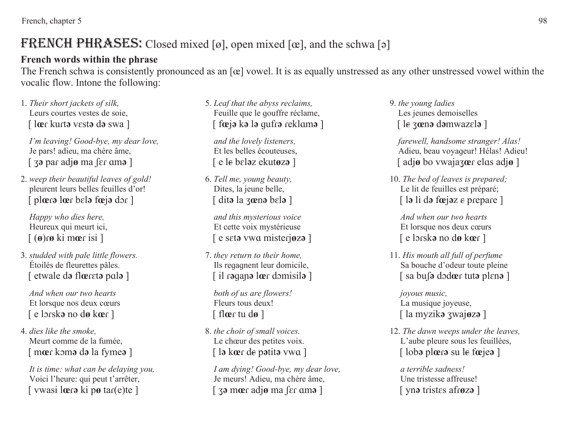French, chapter 5 and 1988 and 1988 and 1988 and 1988 and 1988 and 1988 and 1988 and 1988 and 1988 and 1988 and 1988 and 1988 and 1988 and 1988 and 1988 and 1988 and 1988 and 1988 and 1988 and 1988 and 1988 and 1988 and 19

# FRENCH PHRASES: Closed mixed [ø], open mixed [œ], and the schwa [ə]

#### **French words within the phrase**

The French schwa is consistently pronounced as an [œ] vowel. It is as equally unstressed as any other unstressed vowel within the vocalic flow. Intone the following:

 *Their short jackets of silk,*  Leurs courtes vestes de soie, [ l**<sup>œ</sup>**ݐ kuݐt**ԥ** vܭst**ԥ** d**ԥ** swa ]

 *I'm leaving! Good-bye, my dear love,* Je pars! adieu, ma chère âme,  $\int$  **za** par adjø ma  $\int$ er am**a**  $\int$ 

*weep their beautiful leaves of gold!* pleurent leurs belles feuilles d'or!  $\int$  plear belare feed of  $\int$ 

 *Happy who dies here,*  Heureux qui meurt ici,  $\left[\right.$  ( $\theta$ )**r** $\theta$  ki mœr isi ]

3. *studded with pale little flowers.* Étoilés de fleurettes pâles.  $\lceil$  etwale d**<sub>2</sub>** flower to pale 1

 *And when our two hearts*Et lorsque nos deux cœurs [ e lݐܧsk**ԥ** no d**ø** k**<sup>œ</sup>**ݐ [

*dies like the smoke,*  Meurt comme de la fumée, [ mœr kɔm**ə** d**ə** la fyme**ə** ]

 *It is time: what can be delaying you,*  Voici l'heure: qui peut t'arrêter,  $\lceil$  vwasi loers ki pø tar $(e)$ te  $\rceil$ 

*Leaf that the abyss reclaims,*  Feuille que le gouffre réclame,  $\lceil \int$  fœ $\lceil \cdot \rceil$ **k**  $\lceil \cdot \rceil$  and  $\lceil \cdot \rceil$ 

 *and the lovely listeners,*  Et les belles écouteuses,  $\int$  e le belaz ekutøza ]

*Tell me, young beauty,*  Dites, la jeune belle, [ dit**ԥ** la ݤ**œ**n**<sup>ԥ</sup>** bܭl**ԥ** ]

 *and this mysterious voice* Et cette voix mystérieuse  $\int$  e set**a** vwa misterjøza ]

7. *they return to their home,*  Ils reqagnent leur domicile,  $\lceil$  il raqana lœr domisila ]

 *both of us are flowers!* Fleurs tous deux! [ fl**<sup>œ</sup>**ݐ tu d**ø** ]

*the choir of small voices.* Le chœur des petites voix.  $\lceil \cdot \rceil$  la kœr de patita vwa  $\lceil \cdot \rceil$ 

 *I am dying! Good-bye, my dear love,* Je meurs! Adieu, ma chère âme,  $\lceil$  3<sup> $\sigma$ </sup> mœ $\sigma$  adjø ma  $\lceil \sigma \rceil$ 

9. *the young ladies* Les jeunes demoiselles [ le zœn**ə** dəmwazɛlə ]

 *farewell, handsome stranger! Alas!* Adieu, beau voyaqeur! Hélas! Adieu! [ adjø bo vwajazoer elos adjø ]

*The bed of leaves is prepared;* Le lit de feuilles est préparé;  $\begin{bmatrix} \n\end{bmatrix}$  la li da fœjaz e prepare ]

 *And when our two hearts*Et lorsque nos deux cœurs [ e lݐܧsk**ԥ** no d**ø** k**<sup>œ</sup>**ݐ [

 *His mouth all full of perfume* Sa bouche d'odeur toute pleine  $\int$  sa bu**s** dode tuta plene

 *joyous music,* La musique joyeuse, [ la myzik**<sup>ԥ</sup>** ݤwaj**<sup>ø</sup>**z**<sup>ԥ</sup>** ]

 *The dawn weeps under the leaves,*  L'aube pleure sous les feuillées,  $\lceil \cdot \rceil$  loba ploera su le foe jea

 *a terrible sadness!* Une tristesse affreuse! [ yn**ə** tristes afrøz**ə**]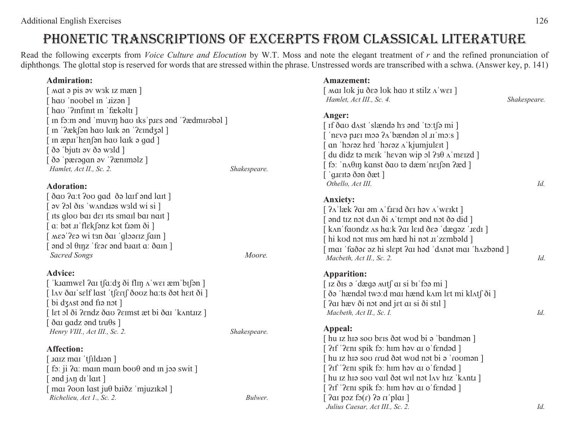# PHONETIC TRANSCRIPTIONS OF EXCERPTS FROM CLASSICAL LITERATURE

Read the following excerpts from *Voice Culture and Elocution* by W.T. Moss and note the elegant treatment of r and the refined pronunciation of diphthongs. The glottal stop is reserved for words that are stressed within the phrase. Unstressed words are transcribed with a schwa. (Answer key, p. 141)

#### **Admiration: Amazement:**

| $\lceil$ mat $\phi$ pis $\phi$ wak iz mæn $\lceil$<br>[ hao 'noobel in '.iizan ]                                                                                                                                                                                                               |              | [ Mai luk ju des luk hau it stilz A'wei ]<br>Hamlet, Act III., Sc. 4.                                                                                                                                                                                                                                 | Shakespeare. |
|------------------------------------------------------------------------------------------------------------------------------------------------------------------------------------------------------------------------------------------------------------------------------------------------|--------------|-------------------------------------------------------------------------------------------------------------------------------------------------------------------------------------------------------------------------------------------------------------------------------------------------------|--------------|
| [ hao '?infinit in 'fækəlti ]<br>[In form and 'muvin hao iks'pies and '?ædmirabal ]<br>™ '?æk∫ən ha∪ laık ən '?εındʒəl ]<br>In æp.u hen fon hav laik o gad<br>ðə 'bjutı əv ðə wald ]<br>ðə 'pærəqan əv '?æniməlz]<br>Hamlet, Act II., Sc. 2.<br><b>Adoration:</b>                              | Shakespeare. | Anger:<br>[ If ðau dʌst ˈslændə hɜ ənd ˈtɔːtʃə mi ]<br>'nevə plet məə $2\Lambda$ 'bændən əl lu'mə:s ]<br>an 'horaz hed 'horaz A'kjumjulett]<br>du didz tə meik 'hevən wip ol $23\theta \land \text{merzd}$ ]<br>fo: 'n λθιη kanst δαυ to dæm 'n ει fon ?æd ]<br>guerto don dæt ]<br>Othello, Act III. | Id.          |
| δαυ ?a:t ?ou gad δ ə laif ənd lait]<br>$\alpha$ av $\beta$ ol $\delta$ is 'w $\alpha$ ndias wald wi si $\alpha$<br>Its glov bai dei its smail bai nait]<br>[a: bət .uˈflɛkʃənz kɔt fːəm ði ]<br>Mea ?ea wi tan dar 'gloariz fam<br>ond ol θιηz 'fεor ond blatt α' δαιn]<br><b>Sacred Songs</b> | Moore.       | <b>Anxiety:</b><br>[ ?ʌˈlæk ?ɑɪ əm ʌˈfɹɛɪd ðɛɪ həv ʌˈwɛɪkt ]<br>and tiz not dan ði a tempt and not ða did<br>[ kʌnˈfɑʊndz ʌs hɑːk ʔɑɪ lɛɪd ðɛə ˈdægəz ˈɹɛdɪ ]<br>[ hi kod not mıs əm hæd hi not .uˈzɛmbəld ]<br>mai 'faðər əz hi slept ?ai həd 'danət mai 'hazbənd ]<br>Macbeth, Act II., Sc. 2.      | Id.          |
| <b>Advice:</b><br>[ˈkɪamwɛl ʔaɪ tʃaːdʒ ði flɪŋ ʌˈwɛɪ æmˈbɪʃən ]<br>[ lav ðar self last 'tserf ðouz ha:ts ðat hert ði ]<br>$\lceil$ bi dz $\Delta$ st ənd fiə not $\lceil$<br>[ let ɔl ði ʔɛndz ðaʊ ʔɛɪmst æt bi ðaɪ ˈkʌntɪɪz ]                                                                 |              | <b>Apparition:</b><br>Iz ðis ə 'dægə mitf ai si bi'fəə mi]<br>ðə 'hændəl two:d mai hænd kam let mi klatf ði ]<br>[ <i>fai</i> hæv ði not ond jet ar si ði strl ]<br>Macbeth, Act II., Sc. I.                                                                                                          | Id.          |
| $\delta$ ai qadz ənd tru $\theta$ s ]<br>Henry VIII., Act III., Sc. 2.<br><b>Affection:</b><br>[ Jaiz mai 'tfildJən ]<br>fo: ji $2a$ : main main boo $\theta$ and in joa swit ]<br>$\lceil$ and $j$ and $j$ and $j$ and $j$<br>mai ?ovn last juθ biiðz 'mjuzikal]                              | Shakespeare. | Appeal:<br>[ hu iz hiə sou beis ðət wud bi ə 'bandmən ]<br>[ ?If '?enI spik fo: hIm həv aI o'fendəd ]<br>[ hu ɪz hɪə soʊ ɾɾud ðət wʊd nɔt bi ə ˈɾoʊmən ]<br>?If '?enI spik fo: him hav ai o'fendad ]<br>hu iz hiə soo vail ðət wil nət lav hiz 'kantı ]<br>?If '?enI spik fo: him hav aI o'fendad ]   |              |
| Richelieu, Act 1., Sc. 2.                                                                                                                                                                                                                                                                      | Bulwer.      | Par poz fo $(r)$ Par iplar                                                                                                                                                                                                                                                                            |              |

*Julius Caesar, Act III., Sc. 2. Id.*